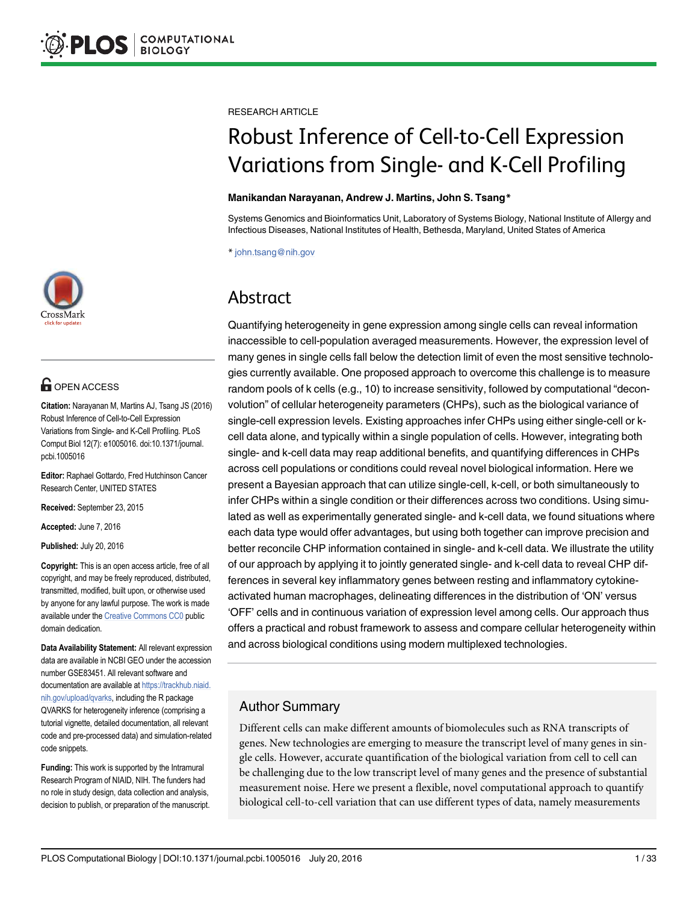

# **G** OPEN ACCESS

Citation: Narayanan M, Martins AJ, Tsang JS (2016) Robust Inference of Cell-to-Cell Expression Variations from Single- and K-Cell Profiling. PLoS Comput Biol 12(7): e1005016. doi:10.1371/journal. pcbi.1005016

Editor: Raphael Gottardo, Fred Hutchinson Cancer Research Center, UNITED STATES

Received: September 23, 2015

Accepted: June 7, 2016

Published: July 20, 2016

Copyright: This is an open access article, free of all copyright, and may be freely reproduced, distributed, transmitted, modified, built upon, or otherwise used by anyone for any lawful purpose. The work is made available under the Creative Commons CC0 public domain dedication.

Data Availability Statement: All relevant expression data are available in NCBI GEO under the accession number GSE83451. All relevant software and documentation are available at https://trackhub.niaid. nih.gov/upload/qvarks, including the R package QVARKS for heterogeneity inference (comprising a tutorial vignette, detailed documentation, all relevant code and pre-processed data) and simulation-related code snippets.

Funding: This work is supported by the Intramural Research Program of NIAID, NIH. The funders had no role in study design, data collection and analysis, decision to publish, or preparation of the manuscript. RESEARCH ARTICLE

# Robust Inference of Cell-to-Cell Expression Variations from Single- and K-Cell Profiling

#### Manikandan Narayanan, Andrew J. Martins, John S. Tsang\*

Systems Genomics and Bioinformatics Unit, Laboratory of Systems Biology, National Institute of Allergy and Infectious Diseases, National Institutes of Health, Bethesda, Maryland, United States of America

\* john.tsang@nih.gov

# Abstract

Quantifying heterogeneity in gene expression among single cells can reveal information inaccessible to cell-population averaged measurements. However, the expression level of many genes in single cells fall below the detection limit of even the most sensitive technologies currently available. One proposed approach to overcome this challenge is to measure random pools of k cells (e.g., 10) to increase sensitivity, followed by computational "deconvolution" of cellular heterogeneity parameters (CHPs), such as the biological variance of single-cell expression levels. Existing approaches infer CHPs using either single-cell or kcell data alone, and typically within a single population of cells. However, integrating both single- and k-cell data may reap additional benefits, and quantifying differences in CHPs across cell populations or conditions could reveal novel biological information. Here we present a Bayesian approach that can utilize single-cell, k-cell, or both simultaneously to infer CHPs within a single condition or their differences across two conditions. Using simulated as well as experimentally generated single- and k-cell data, we found situations where each data type would offer advantages, but using both together can improve precision and better reconcile CHP information contained in single- and k-cell data. We illustrate the utility of our approach by applying it to jointly generated single- and k-cell data to reveal CHP differences in several key inflammatory genes between resting and inflammatory cytokineactivated human macrophages, delineating differences in the distribution of 'ON' versus 'OFF' cells and in continuous variation of expression level among cells. Our approach thus offers a practical and robust framework to assess and compare cellular heterogeneity within and across biological conditions using modern multiplexed technologies.

# Author Summary

Different cells can make different amounts of biomolecules such as RNA transcripts of genes. New technologies are emerging to measure the transcript level of many genes in single cells. However, accurate quantification of the biological variation from cell to cell can be challenging due to the low transcript level of many genes and the presence of substantial measurement noise. Here we present a flexible, novel computational approach to quantify biological cell-to-cell variation that can use different types of data, namely measurements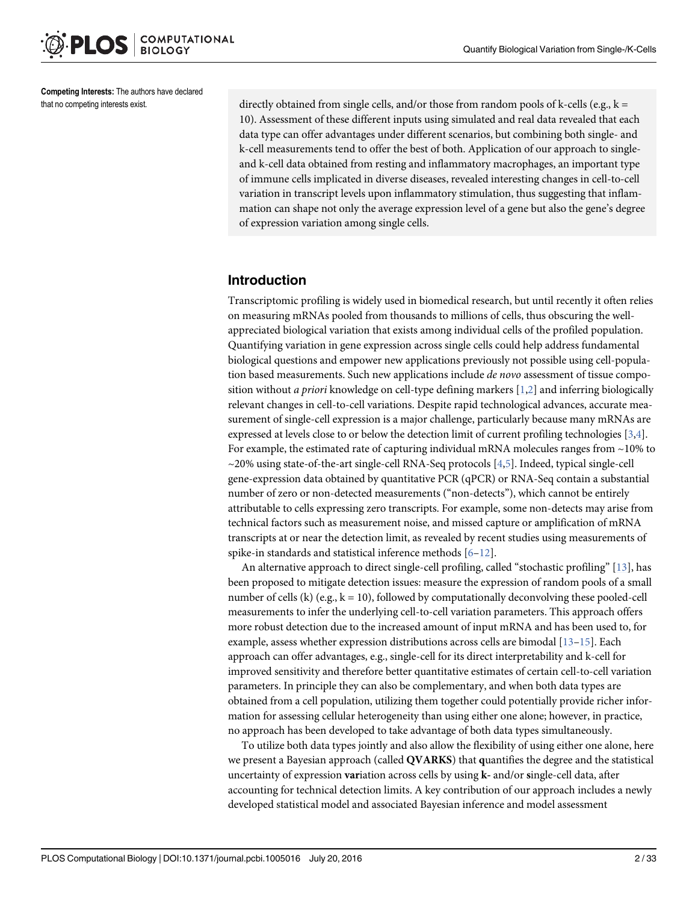Competing Interests: The authors have declared that no competing interests exist.

directly obtained from single cells, and/or those from random pools of k-cells (e.g.,  $k =$ 10). Assessment of these different inputs using simulated and real data revealed that each data type can offer advantages under different scenarios, but combining both single- and k-cell measurements tend to offer the best of both. Application of our approach to singleand k-cell data obtained from resting and inflammatory macrophages, an important type of immune cells implicated in diverse diseases, revealed interesting changes in cell-to-cell variation in transcript levels upon inflammatory stimulation, thus suggesting that inflammation can shape not only the average expression level of a gene but also the gene's degree of expression variation among single cells.

#### Introduction

Transcriptomic profiling is widely used in biomedical research, but until recently it often relies on measuring mRNAs pooled from thousands to millions of cells, thus obscuring the wellappreciated biological variation that exists among individual cells of the profiled population. Quantifying variation in gene expression across single cells could help address fundamental biological questions and empower new applications previously not possible using cell-population based measurements. Such new applications include *de novo* assessment of tissue composition without *a priori* knowledge on cell-type defining markers  $[1,2]$  and inferring biologically relevant changes in cell-to-cell variations. Despite rapid technological advances, accurate measurement of single-cell expression is a major challenge, particularly because many mRNAs are expressed at levels close to or below the detection limit of current profiling technologies [3,4]. For example, the estimated rate of capturing individual mRNA molecules ranges from ~10% to ~20% using state-of-the-art single-cell RNA-Seq protocols [4,5]. Indeed, typical single-cell gene-expression data obtained by quantitative PCR (qPCR) or RNA-Seq contain a substantial number of zero or non-detected measurements ("non-detects"), which cannot be entirely attributable to cells expressing zero transcripts. For example, some non-detects may arise from technical factors such as measurement noise, and missed capture or amplification of mRNA transcripts at or near the detection limit, as revealed by recent studies using measurements of spike-in standards and statistical inference methods  $[6-12]$ .

An alternative approach to direct single-cell profiling, called "stochastic profiling" [13], has been proposed to mitigate detection issues: measure the expression of random pools of a small number of cells (k) (e.g.,  $k = 10$ ), followed by computationally deconvolving these pooled-cell measurements to infer the underlying cell-to-cell variation parameters. This approach offers more robust detection due to the increased amount of input mRNA and has been used to, for example, assess whether expression distributions across cells are bimodal [13–15]. Each approach can offer advantages, e.g., single-cell for its direct interpretability and k-cell for improved sensitivity and therefore better quantitative estimates of certain cell-to-cell variation parameters. In principle they can also be complementary, and when both data types are obtained from a cell population, utilizing them together could potentially provide richer information for assessing cellular heterogeneity than using either one alone; however, in practice, no approach has been developed to take advantage of both data types simultaneously.

To utilize both data types jointly and also allow the flexibility of using either one alone, here we present a Bayesian approach (called **OVARKS**) that quantifies the degree and the statistical uncertainty of expression variation across cells by using k- and/or single-cell data, after accounting for technical detection limits. A key contribution of our approach includes a newly developed statistical model and associated Bayesian inference and model assessment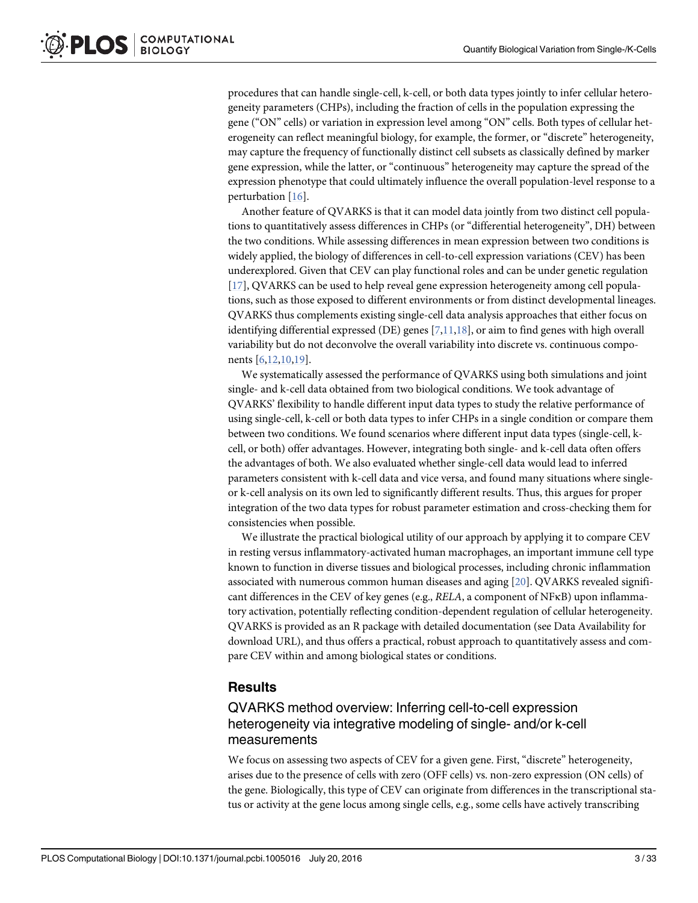procedures that can handle single-cell, k-cell, or both data types jointly to infer cellular heterogeneity parameters (CHPs), including the fraction of cells in the population expressing the gene ("ON" cells) or variation in expression level among "ON" cells. Both types of cellular heterogeneity can reflect meaningful biology, for example, the former, or "discrete" heterogeneity, may capture the frequency of functionally distinct cell subsets as classically defined by marker gene expression, while the latter, or "continuous" heterogeneity may capture the spread of the expression phenotype that could ultimately influence the overall population-level response to a perturbation [16].

Another feature of QVARKS is that it can model data jointly from two distinct cell populations to quantitatively assess differences in CHPs (or "differential heterogeneity", DH) between the two conditions. While assessing differences in mean expression between two conditions is widely applied, the biology of differences in cell-to-cell expression variations (CEV) has been underexplored. Given that CEV can play functional roles and can be under genetic regulation [17], QVARKS can be used to help reveal gene expression heterogeneity among cell populations, such as those exposed to different environments or from distinct developmental lineages. QVARKS thus complements existing single-cell data analysis approaches that either focus on identifying differential expressed (DE) genes  $[7,11,18]$ , or aim to find genes with high overall variability but do not deconvolve the overall variability into discrete vs. continuous components [6,12,10,19].

We systematically assessed the performance of QVARKS using both simulations and joint single- and k-cell data obtained from two biological conditions. We took advantage of QVARKS' flexibility to handle different input data types to study the relative performance of using single-cell, k-cell or both data types to infer CHPs in a single condition or compare them between two conditions. We found scenarios where different input data types (single-cell, kcell, or both) offer advantages. However, integrating both single- and k-cell data often offers the advantages of both. We also evaluated whether single-cell data would lead to inferred parameters consistent with k-cell data and vice versa, and found many situations where singleor k-cell analysis on its own led to significantly different results. Thus, this argues for proper integration of the two data types for robust parameter estimation and cross-checking them for consistencies when possible.

We illustrate the practical biological utility of our approach by applying it to compare CEV in resting versus inflammatory-activated human macrophages, an important immune cell type known to function in diverse tissues and biological processes, including chronic inflammation associated with numerous common human diseases and aging [20]. QVARKS revealed significant differences in the CEV of key genes (e.g., RELA, a component of NFκB) upon inflammatory activation, potentially reflecting condition-dependent regulation of cellular heterogeneity. QVARKS is provided as an R package with detailed documentation (see Data Availability for download URL), and thus offers a practical, robust approach to quantitatively assess and compare CEV within and among biological states or conditions.

#### **Results**

# QVARKS method overview: Inferring cell-to-cell expression heterogeneity via integrative modeling of single- and/or k-cell measurements

We focus on assessing two aspects of CEV for a given gene. First, "discrete" heterogeneity, arises due to the presence of cells with zero (OFF cells) vs. non-zero expression (ON cells) of the gene. Biologically, this type of CEV can originate from differences in the transcriptional status or activity at the gene locus among single cells, e.g., some cells have actively transcribing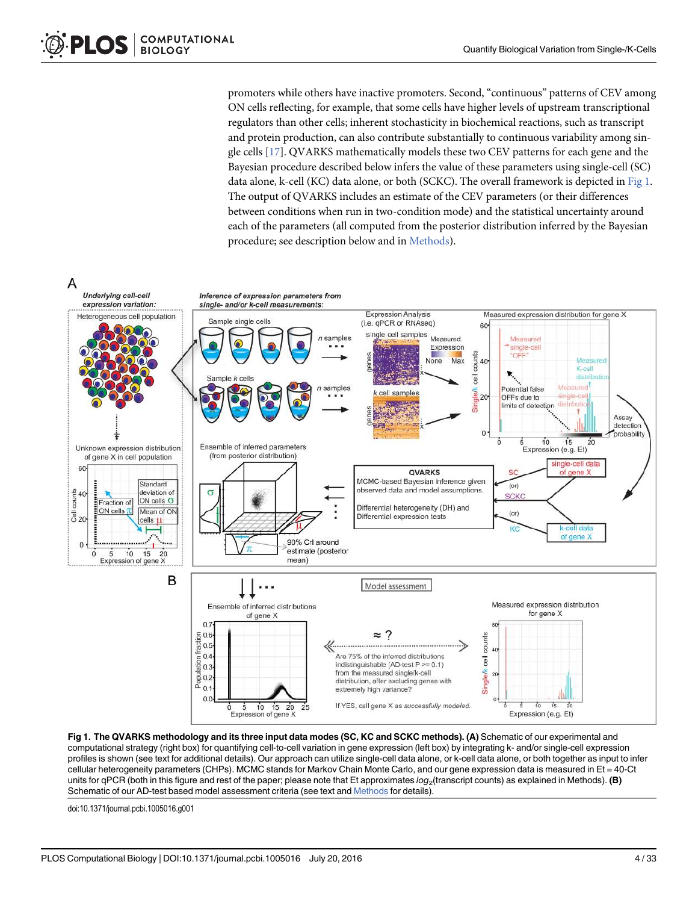promoters while others have inactive promoters. Second, "continuous" patterns of CEV among ON cells reflecting, for example, that some cells have higher levels of upstream transcriptional regulators than other cells; inherent stochasticity in biochemical reactions, such as transcript and protein production, can also contribute substantially to continuous variability among single cells [17]. QVARKS mathematically models these two CEV patterns for each gene and the Bayesian procedure described below infers the value of these parameters using single-cell (SC) data alone, k-cell (KC) data alone, or both (SCKC). The overall framework is depicted in Fig 1. The output of QVARKS includes an estimate of the CEV parameters (or their differences between conditions when run in two-condition mode) and the statistical uncertainty around each of the parameters (all computed from the posterior distribution inferred by the Bayesian procedure; see description below and in Methods).





doi:10.1371/journal.pcbi.1005016.g001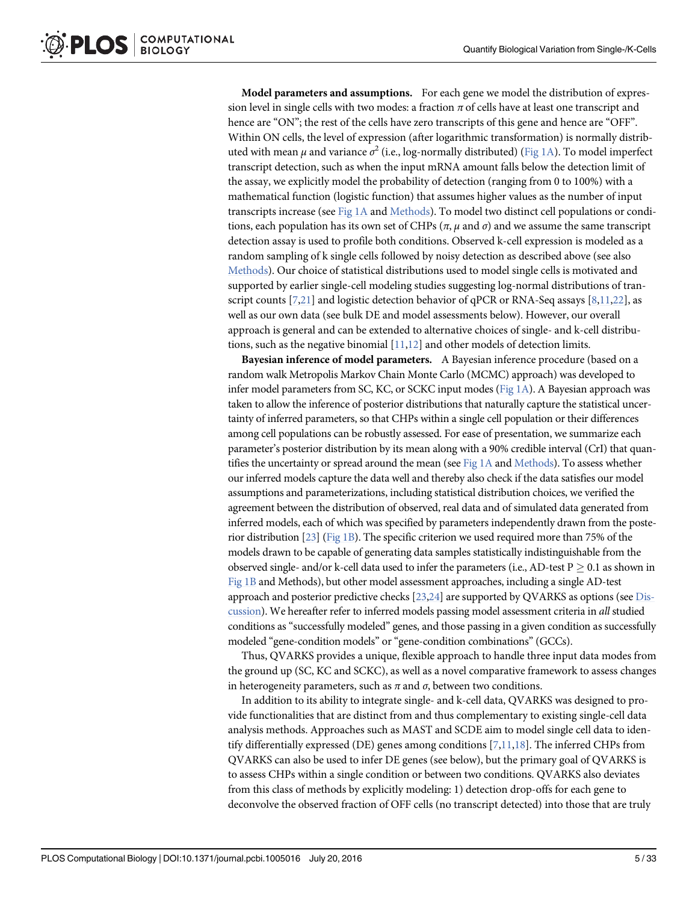Model parameters and assumptions. For each gene we model the distribution of expression level in single cells with two modes: a fraction  $\pi$  of cells have at least one transcript and hence are "ON"; the rest of the cells have zero transcripts of this gene and hence are "OFF". Within ON cells, the level of expression (after logarithmic transformation) is normally distributed with mean  $\mu$  and variance  $\sigma^2$  (i.e., log-normally distributed) ( $\underline{\mathrm{Fig\ 1A}}$ ). To model imperfect transcript detection, such as when the input mRNA amount falls below the detection limit of the assay, we explicitly model the probability of detection (ranging from 0 to 100%) with a mathematical function (logistic function) that assumes higher values as the number of input transcripts increase (see Fig 1A and Methods). To model two distinct cell populations or conditions, each population has its own set of CHPs ( $\pi$ ,  $\mu$  and  $\sigma$ ) and we assume the same transcript detection assay is used to profile both conditions. Observed k-cell expression is modeled as a random sampling of k single cells followed by noisy detection as described above (see also Methods). Our choice of statistical distributions used to model single cells is motivated and supported by earlier single-cell modeling studies suggesting log-normal distributions of transcript counts  $[7,21]$  and logistic detection behavior of qPCR or RNA-Seq assays  $[8,11,22]$ , as well as our own data (see bulk DE and model assessments below). However, our overall approach is general and can be extended to alternative choices of single- and k-cell distributions, such as the negative binomial  $[11,12]$  and other models of detection limits.

Bayesian inference of model parameters. A Bayesian inference procedure (based on a random walk Metropolis Markov Chain Monte Carlo (MCMC) approach) was developed to infer model parameters from SC, KC, or SCKC input modes (Fig 1A). A Bayesian approach was taken to allow the inference of posterior distributions that naturally capture the statistical uncertainty of inferred parameters, so that CHPs within a single cell population or their differences among cell populations can be robustly assessed. For ease of presentation, we summarize each parameter's posterior distribution by its mean along with a 90% credible interval (CrI) that quantifies the uncertainty or spread around the mean (see Fig  $1A$  and Methods). To assess whether our inferred models capture the data well and thereby also check if the data satisfies our model assumptions and parameterizations, including statistical distribution choices, we verified the agreement between the distribution of observed, real data and of simulated data generated from inferred models, each of which was specified by parameters independently drawn from the posterior distribution [23] (Fig 1B). The specific criterion we used required more than 75% of the models drawn to be capable of generating data samples statistically indistinguishable from the observed single- and/or k-cell data used to infer the parameters (i.e., AD-test  $P \ge 0.1$  as shown in Fig 1B and Methods), but other model assessment approaches, including a single AD-test approach and posterior predictive checks [23,24] are supported by QVARKS as options (see Discussion). We hereafter refer to inferred models passing model assessment criteria in all studied conditions as "successfully modeled" genes, and those passing in a given condition as successfully modeled "gene-condition models" or "gene-condition combinations" (GCCs).

Thus, QVARKS provides a unique, flexible approach to handle three input data modes from the ground up (SC, KC and SCKC), as well as a novel comparative framework to assess changes in heterogeneity parameters, such as  $\pi$  and  $\sigma$ , between two conditions.

In addition to its ability to integrate single- and k-cell data, QVARKS was designed to provide functionalities that are distinct from and thus complementary to existing single-cell data analysis methods. Approaches such as MAST and SCDE aim to model single cell data to identify differentially expressed (DE) genes among conditions  $[7,11,18]$ . The inferred CHPs from QVARKS can also be used to infer DE genes (see below), but the primary goal of QVARKS is to assess CHPs within a single condition or between two conditions. QVARKS also deviates from this class of methods by explicitly modeling: 1) detection drop-offs for each gene to deconvolve the observed fraction of OFF cells (no transcript detected) into those that are truly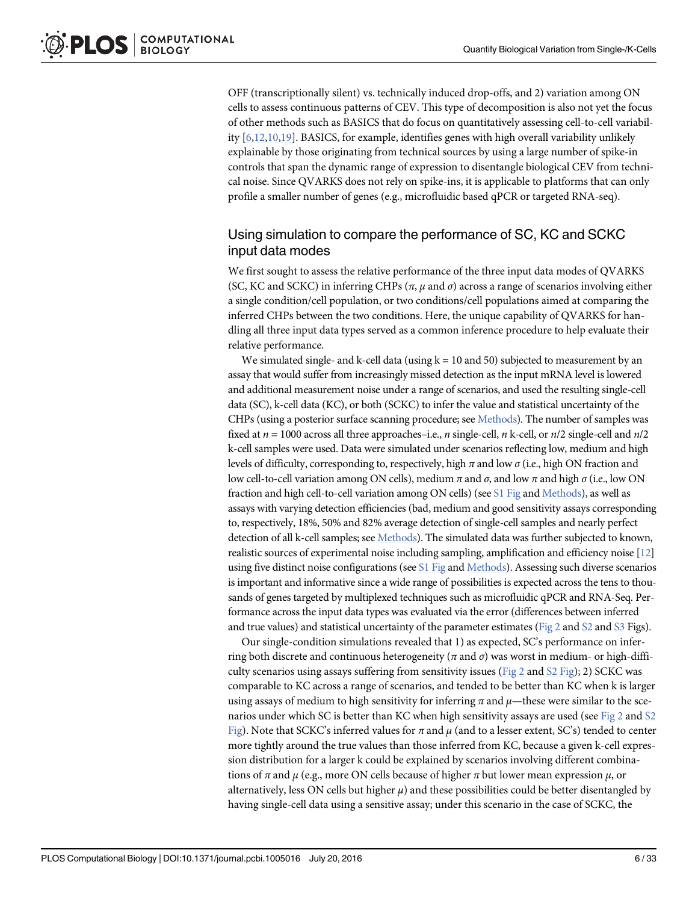OFF (transcriptionally silent) vs. technically induced drop-offs, and 2) variation among ON cells to assess continuous patterns of CEV. This type of decomposition is also not yet the focus of other methods such as BASICS that do focus on quantitatively assessing cell-to-cell variability  $[6,12,10,19]$ . BASICS, for example, identifies genes with high overall variability unlikely explainable by those originating from technical sources by using a large number of spike-in controls that span the dynamic range of expression to disentangle biological CEV from technical noise. Since QVARKS does not rely on spike-ins, it is applicable to platforms that can only profile a smaller number of genes (e.g., microfluidic based qPCR or targeted RNA-seq).

# Using simulation to compare the performance of SC, KC and SCKC input data modes

We first sought to assess the relative performance of the three input data modes of QVARKS (SC, KC and SCKC) in inferring CHPs ( $\pi$ ,  $\mu$  and  $\sigma$ ) across a range of scenarios involving either a single condition/cell population, or two conditions/cell populations aimed at comparing the inferred CHPs between the two conditions. Here, the unique capability of QVARKS for handling all three input data types served as a common inference procedure to help evaluate their relative performance.

We simulated single- and k-cell data (using  $k = 10$  and 50) subjected to measurement by an assay that would suffer from increasingly missed detection as the input mRNA level is lowered and additional measurement noise under a range of scenarios, and used the resulting single-cell data (SC), k-cell data (KC), or both (SCKC) to infer the value and statistical uncertainty of the CHPs (using a posterior surface scanning procedure; see Methods). The number of samples was fixed at  $n = 1000$  across all three approaches–i.e., n single-cell, n k-cell, or  $n/2$  single-cell and  $n/2$ k-cell samples were used. Data were simulated under scenarios reflecting low, medium and high levels of difficulty, corresponding to, respectively, high  $\pi$  and low  $\sigma$  (i.e., high ON fraction and low cell-to-cell variation among ON cells), medium π and σ, and low π and high σ (i.e., low ON fraction and high cell-to-cell variation among ON cells) (see  $S1$  Fig and Methods), as well as assays with varying detection efficiencies (bad, medium and good sensitivity assays corresponding to, respectively, 18%, 50% and 82% average detection of single-cell samples and nearly perfect detection of all k-cell samples; see Methods). The simulated data was further subjected to known, realistic sources of experimental noise including sampling, amplification and efficiency noise [12] using five distinct noise configurations (see *S1 Fig and Methods*). Assessing such diverse scenarios is important and informative since a wide range of possibilities is expected across the tens to thousands of genes targeted by multiplexed techniques such as microfluidic qPCR and RNA-Seq. Performance across the input data types was evaluated via the error (differences between inferred and true values) and statistical uncertainty of the parameter estimates ( $Fig 2$  and  $S2$  and  $S3$  Figs).

Our single-condition simulations revealed that 1) as expected, SC's performance on inferring both discrete and continuous heterogeneity ( $\pi$  and  $\sigma$ ) was worst in medium- or high-difficulty scenarios using assays suffering from sensitivity issues (Fig 2 and  $S2$  Fig); 2) SCKC was comparable to KC across a range of scenarios, and tended to be better than KC when k is larger using assays of medium to high sensitivity for inferring  $\pi$  and  $\mu$ —these were similar to the scenarios under which SC is better than KC when high sensitivity assays are used (see Fig 2 and S2 Fig). Note that SCKC's inferred values for  $\pi$  and  $\mu$  (and to a lesser extent, SC's) tended to center more tightly around the true values than those inferred from KC, because a given k-cell expression distribution for a larger k could be explained by scenarios involving different combinations of  $\pi$  and  $\mu$  (e.g., more ON cells because of higher  $\pi$  but lower mean expression  $\mu$ , or alternatively, less ON cells but higher  $\mu$ ) and these possibilities could be better disentangled by having single-cell data using a sensitive assay; under this scenario in the case of SCKC, the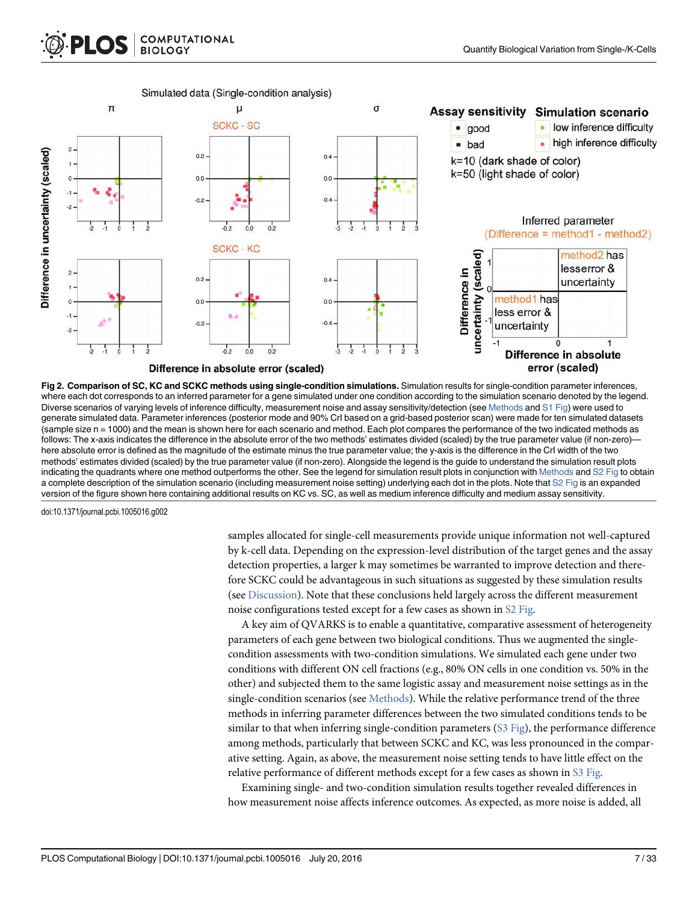



Difference in absolute error (scaled)

Fig 2. Comparison of SC, KC and SCKC methods using single-condition simulations. Simulation results for single-condition parameter inferences, where each dot corresponds to an inferred parameter for a gene simulated under one condition according to the simulation scenario denoted by the legend. Diverse scenarios of varying levels of inference difficulty, measurement noise and assay sensitivity/detection (see Methods and S1 Fig) were used to generate simulated data. Parameter inferences (posterior mode and 90% CrI based on a grid-based posterior scan) were made for ten simulated datasets (sample size n = 1000) and the mean is shown here for each scenario and method. Each plot compares the performance of the two indicated methods as follows: The x-axis indicates the difference in the absolute error of the two methods' estimates divided (scaled) by the true parameter value (if non-zero) here absolute error is defined as the magnitude of the estimate minus the true parameter value; the y-axis is the difference in the CrI width of the two methods' estimates divided (scaled) by the true parameter value (if non-zero). Alongside the legend is the guide to understand the simulation result plots indicating the quadrants where one method outperforms the other. See the legend for simulation result plots in conjunction with Methods and S2 Fig to obtain a complete description of the simulation scenario (including measurement noise setting) underlying each dot in the plots. Note that S2 Fig is an expanded version of the figure shown here containing additional results on KC vs. SC, as well as medium inference difficulty and medium assay sensitivity.

doi:10.1371/journal.pcbi.1005016.g002

samples allocated for single-cell measurements provide unique information not well-captured by k-cell data. Depending on the expression-level distribution of the target genes and the assay detection properties, a larger k may sometimes be warranted to improve detection and therefore SCKC could be advantageous in such situations as suggested by these simulation results (see Discussion). Note that these conclusions held largely across the different measurement noise configurations tested except for a few cases as shown in S2 Fig.

A key aim of QVARKS is to enable a quantitative, comparative assessment of heterogeneity parameters of each gene between two biological conditions. Thus we augmented the singlecondition assessments with two-condition simulations. We simulated each gene under two conditions with different ON cell fractions (e.g., 80% ON cells in one condition vs. 50% in the other) and subjected them to the same logistic assay and measurement noise settings as in the single-condition scenarios (see Methods). While the relative performance trend of the three methods in inferring parameter differences between the two simulated conditions tends to be similar to that when inferring single-condition parameters  $(S3 \text{ Fig})$ , the performance difference among methods, particularly that between SCKC and KC, was less pronounced in the comparative setting. Again, as above, the measurement noise setting tends to have little effect on the relative performance of different methods except for a few cases as shown in S3 Fig.

Examining single- and two-condition simulation results together revealed differences in how measurement noise affects inference outcomes. As expected, as more noise is added, all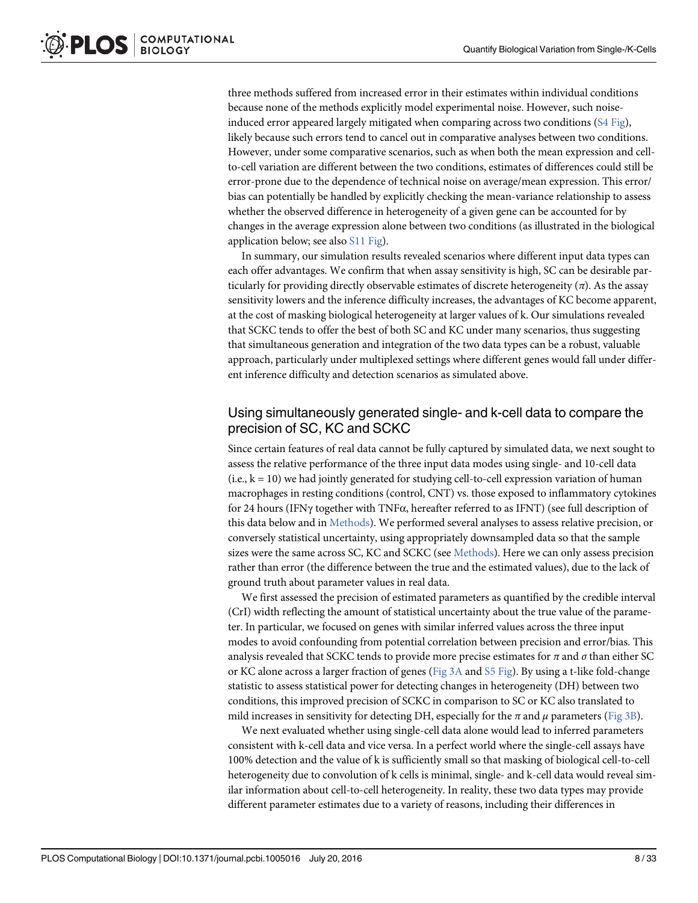three methods suffered from increased error in their estimates within individual conditions because none of the methods explicitly model experimental noise. However, such noiseinduced error appeared largely mitigated when comparing across two conditions  $(S4 \text{ Fig.})$ , likely because such errors tend to cancel out in comparative analyses between two conditions. However, under some comparative scenarios, such as when both the mean expression and cellto-cell variation are different between the two conditions, estimates of differences could still be error-prone due to the dependence of technical noise on average/mean expression. This error/ bias can potentially be handled by explicitly checking the mean-variance relationship to assess whether the observed difference in heterogeneity of a given gene can be accounted for by changes in the average expression alone between two conditions (as illustrated in the biological application below; see also S11 Fig).

In summary, our simulation results revealed scenarios where different input data types can each offer advantages. We confirm that when assay sensitivity is high, SC can be desirable particularly for providing directly observable estimates of discrete heterogeneity  $(\pi)$ . As the assay sensitivity lowers and the inference difficulty increases, the advantages of KC become apparent, at the cost of masking biological heterogeneity at larger values of k. Our simulations revealed that SCKC tends to offer the best of both SC and KC under many scenarios, thus suggesting that simultaneous generation and integration of the two data types can be a robust, valuable approach, particularly under multiplexed settings where different genes would fall under different inference difficulty and detection scenarios as simulated above.

#### Using simultaneously generated single- and k-cell data to compare the precision of SC, KC and SCKC

Since certain features of real data cannot be fully captured by simulated data, we next sought to assess the relative performance of the three input data modes using single- and 10-cell data  $(i.e., k = 10)$  we had jointly generated for studying cell-to-cell expression variation of human macrophages in resting conditions (control, CNT) vs. those exposed to inflammatory cytokines for 24 hours (IFNγ together with TNFα, hereafter referred to as IFNT) (see full description of this data below and in Methods). We performed several analyses to assess relative precision, or conversely statistical uncertainty, using appropriately downsampled data so that the sample sizes were the same across SC, KC and SCKC (see Methods). Here we can only assess precision rather than error (the difference between the true and the estimated values), due to the lack of ground truth about parameter values in real data.

We first assessed the precision of estimated parameters as quantified by the credible interval (CrI) width reflecting the amount of statistical uncertainty about the true value of the parameter. In particular, we focused on genes with similar inferred values across the three input modes to avoid confounding from potential correlation between precision and error/bias. This analysis revealed that SCKC tends to provide more precise estimates for  $\pi$  and  $\sigma$  than either SC or KC alone across a larger fraction of genes ( $Fig 3A$  and  $S5 Fig$ ). By using a t-like fold-change statistic to assess statistical power for detecting changes in heterogeneity (DH) between two conditions, this improved precision of SCKC in comparison to SC or KC also translated to mild increases in sensitivity for detecting DH, especially for the  $\pi$  and  $\mu$  parameters (Fig 3B).

We next evaluated whether using single-cell data alone would lead to inferred parameters consistent with k-cell data and vice versa. In a perfect world where the single-cell assays have 100% detection and the value of k is sufficiently small so that masking of biological cell-to-cell heterogeneity due to convolution of k cells is minimal, single- and k-cell data would reveal similar information about cell-to-cell heterogeneity. In reality, these two data types may provide different parameter estimates due to a variety of reasons, including their differences in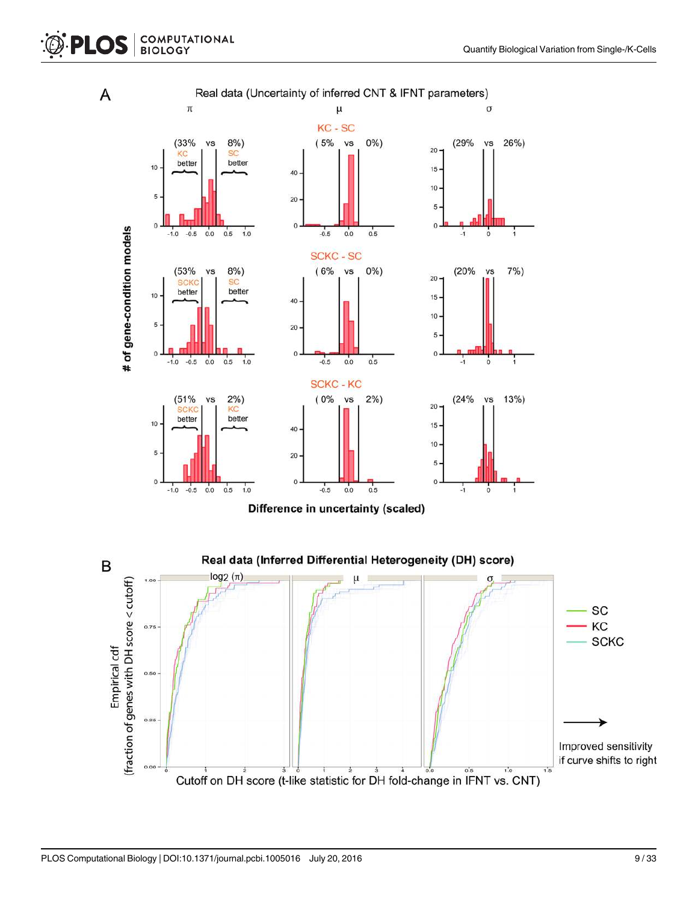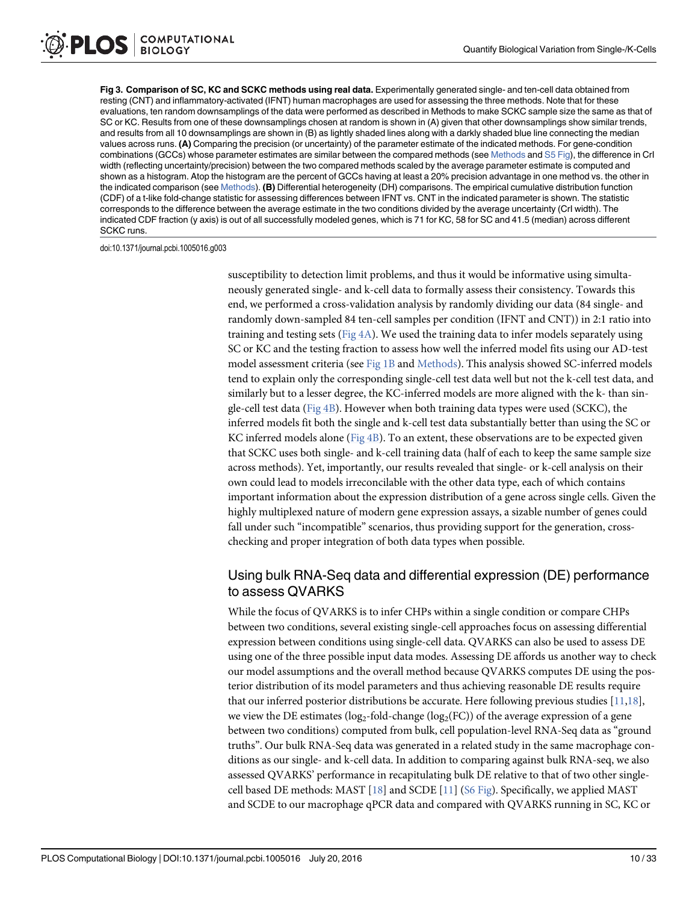Fig 3. Comparison of SC, KC and SCKC methods using real data. Experimentally generated single- and ten-cell data obtained from resting (CNT) and inflammatory-activated (IFNT) human macrophages are used for assessing the three methods. Note that for these evaluations, ten random downsamplings of the data were performed as described in Methods to make SCKC sample size the same as that of SC or KC. Results from one of these downsamplings chosen at random is shown in (A) given that other downsamplings show similar trends, and results from all 10 downsamplings are shown in (B) as lightly shaded lines along with a darkly shaded blue line connecting the median values across runs. (A) Comparing the precision (or uncertainty) of the parameter estimate of the indicated methods. For gene-condition combinations (GCCs) whose parameter estimates are similar between the compared methods (see Methods and S5 Fig), the difference in CrI width (reflecting uncertainty/precision) between the two compared methods scaled by the average parameter estimate is computed and shown as a histogram. Atop the histogram are the percent of GCCs having at least a 20% precision advantage in one method vs. the other in the indicated comparison (see Methods). (B) Differential heterogeneity (DH) comparisons. The empirical cumulative distribution function (CDF) of a t-like fold-change statistic for assessing differences between IFNT vs. CNT in the indicated parameter is shown. The statistic corresponds to the difference between the average estimate in the two conditions divided by the average uncertainty (CrI width). The indicated CDF fraction (y axis) is out of all successfully modeled genes, which is 71 for KC, 58 for SC and 41.5 (median) across different SCKC runs.

doi:10.1371/journal.pcbi.1005016.g003

susceptibility to detection limit problems, and thus it would be informative using simultaneously generated single- and k-cell data to formally assess their consistency. Towards this end, we performed a cross-validation analysis by randomly dividing our data (84 single- and randomly down-sampled 84 ten-cell samples per condition (IFNT and CNT)) in 2:1 ratio into training and testing sets (Fig  $4A$ ). We used the training data to infer models separately using SC or KC and the testing fraction to assess how well the inferred model fits using our AD-test model assessment criteria (see Fig 1B and Methods). This analysis showed SC-inferred models tend to explain only the corresponding single-cell test data well but not the k-cell test data, and similarly but to a lesser degree, the KC-inferred models are more aligned with the k- than single-cell test data ( $Fig 4B$ ). However when both training data types were used (SCKC), the inferred models fit both the single and k-cell test data substantially better than using the SC or KC inferred models alone ( $Fig 4B$ ). To an extent, these observations are to be expected given that SCKC uses both single- and k-cell training data (half of each to keep the same sample size across methods). Yet, importantly, our results revealed that single- or k-cell analysis on their own could lead to models irreconcilable with the other data type, each of which contains important information about the expression distribution of a gene across single cells. Given the highly multiplexed nature of modern gene expression assays, a sizable number of genes could fall under such "incompatible" scenarios, thus providing support for the generation, crosschecking and proper integration of both data types when possible.

# Using bulk RNA-Seq data and differential expression (DE) performance to assess QVARKS

While the focus of QVARKS is to infer CHPs within a single condition or compare CHPs between two conditions, several existing single-cell approaches focus on assessing differential expression between conditions using single-cell data. QVARKS can also be used to assess DE using one of the three possible input data modes. Assessing DE affords us another way to check our model assumptions and the overall method because QVARKS computes DE using the posterior distribution of its model parameters and thus achieving reasonable DE results require that our inferred posterior distributions be accurate. Here following previous studies [11,18], we view the DE estimates (log<sub>2</sub>-fold-change (log<sub>2</sub>(FC)) of the average expression of a gene between two conditions) computed from bulk, cell population-level RNA-Seq data as "ground truths". Our bulk RNA-Seq data was generated in a related study in the same macrophage conditions as our single- and k-cell data. In addition to comparing against bulk RNA-seq, we also assessed QVARKS' performance in recapitulating bulk DE relative to that of two other singlecell based DE methods: MAST  $[18]$  and SCDE  $[11]$  (S6 Fig). Specifically, we applied MAST and SCDE to our macrophage qPCR data and compared with QVARKS running in SC, KC or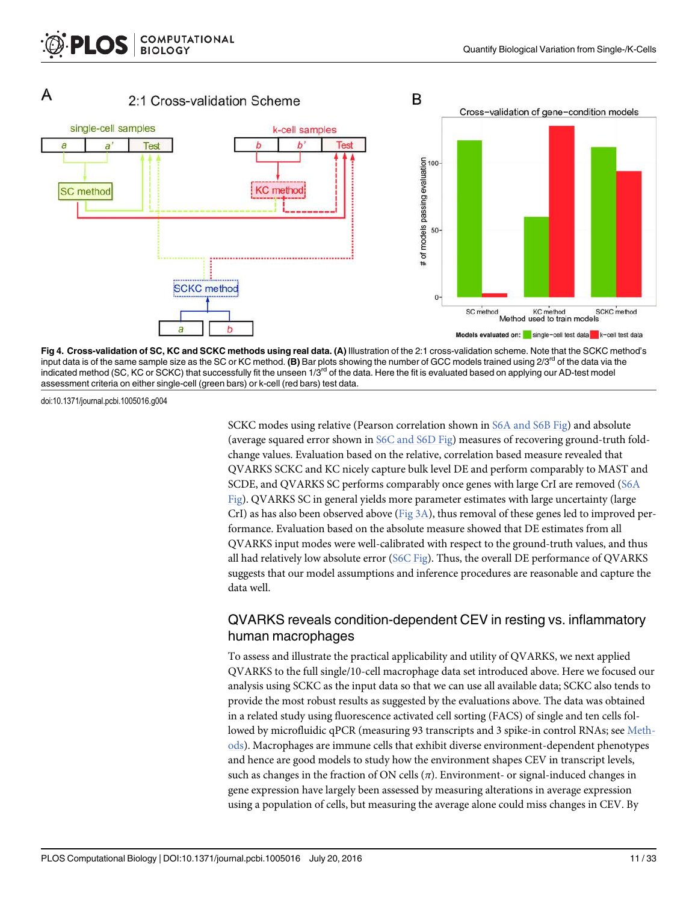



doi:10.1371/journal.pcbi.1005016.g004

SCKC modes using relative (Pearson correlation shown in S6A and S6B Fig) and absolute (average squared error shown in S6C and S6D Fig) measures of recovering ground-truth foldchange values. Evaluation based on the relative, correlation based measure revealed that QVARKS SCKC and KC nicely capture bulk level DE and perform comparably to MAST and SCDE, and QVARKS SC performs comparably once genes with large CrI are removed (S6A Fig). QVARKS SC in general yields more parameter estimates with large uncertainty (large CrI) as has also been observed above ( $Fig 3A$ ), thus removal of these genes led to improved performance. Evaluation based on the absolute measure showed that DE estimates from all QVARKS input modes were well-calibrated with respect to the ground-truth values, and thus all had relatively low absolute error ( $S6C$  Fig). Thus, the overall DE performance of QVARKS suggests that our model assumptions and inference procedures are reasonable and capture the data well.

#### QVARKS reveals condition-dependent CEV in resting vs. inflammatory human macrophages

To assess and illustrate the practical applicability and utility of QVARKS, we next applied QVARKS to the full single/10-cell macrophage data set introduced above. Here we focused our analysis using SCKC as the input data so that we can use all available data; SCKC also tends to provide the most robust results as suggested by the evaluations above. The data was obtained in a related study using fluorescence activated cell sorting (FACS) of single and ten cells followed by microfluidic qPCR (measuring 93 transcripts and 3 spike-in control RNAs; see Methods). Macrophages are immune cells that exhibit diverse environment-dependent phenotypes and hence are good models to study how the environment shapes CEV in transcript levels, such as changes in the fraction of ON cells  $(\pi)$ . Environment- or signal-induced changes in gene expression have largely been assessed by measuring alterations in average expression using a population of cells, but measuring the average alone could miss changes in CEV. By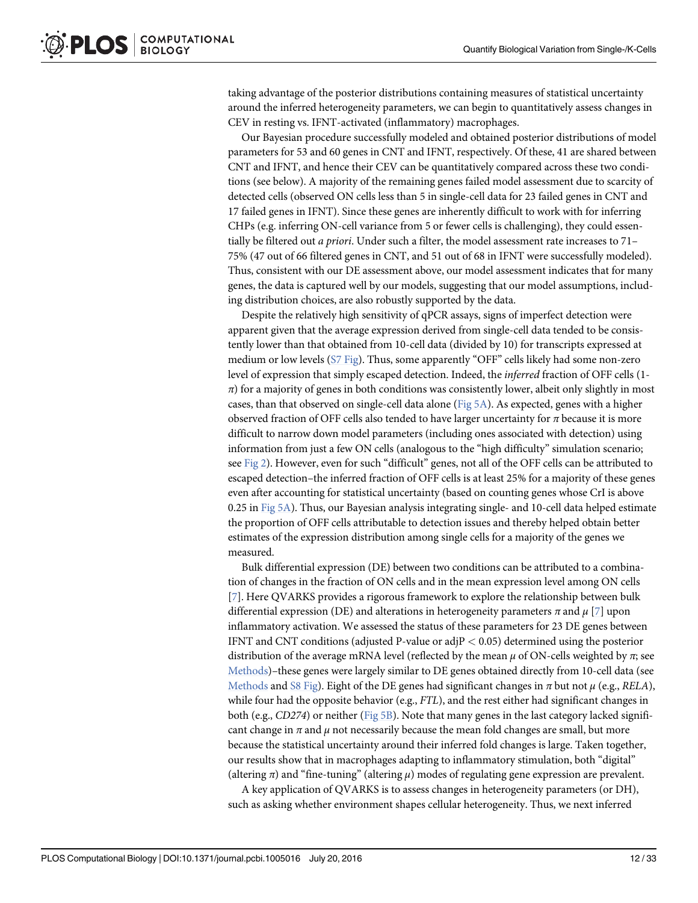taking advantage of the posterior distributions containing measures of statistical uncertainty around the inferred heterogeneity parameters, we can begin to quantitatively assess changes in CEV in resting vs. IFNT-activated (inflammatory) macrophages.

Our Bayesian procedure successfully modeled and obtained posterior distributions of model parameters for 53 and 60 genes in CNT and IFNT, respectively. Of these, 41 are shared between CNT and IFNT, and hence their CEV can be quantitatively compared across these two conditions (see below). A majority of the remaining genes failed model assessment due to scarcity of detected cells (observed ON cells less than 5 in single-cell data for 23 failed genes in CNT and 17 failed genes in IFNT). Since these genes are inherently difficult to work with for inferring CHPs (e.g. inferring ON-cell variance from 5 or fewer cells is challenging), they could essentially be filtered out a priori. Under such a filter, the model assessment rate increases to 71– 75% (47 out of 66 filtered genes in CNT, and 51 out of 68 in IFNT were successfully modeled). Thus, consistent with our DE assessment above, our model assessment indicates that for many genes, the data is captured well by our models, suggesting that our model assumptions, including distribution choices, are also robustly supported by the data.

Despite the relatively high sensitivity of qPCR assays, signs of imperfect detection were apparent given that the average expression derived from single-cell data tended to be consistently lower than that obtained from 10-cell data (divided by 10) for transcripts expressed at medium or low levels (S7 Fig). Thus, some apparently "OFF" cells likely had some non-zero level of expression that simply escaped detection. Indeed, the inferred fraction of OFF cells (1-  $\pi$ ) for a majority of genes in both conditions was consistently lower, albeit only slightly in most cases, than that observed on single-cell data alone ( $Fig 5A$ ). As expected, genes with a higher observed fraction of OFF cells also tended to have larger uncertainty for  $\pi$  because it is more difficult to narrow down model parameters (including ones associated with detection) using information from just a few ON cells (analogous to the "high difficulty" simulation scenario; see Fig 2). However, even for such "difficult" genes, not all of the OFF cells can be attributed to escaped detection–the inferred fraction of OFF cells is at least 25% for a majority of these genes even after accounting for statistical uncertainty (based on counting genes whose CrI is above 0.25 in Fig 5A). Thus, our Bayesian analysis integrating single- and 10-cell data helped estimate the proportion of OFF cells attributable to detection issues and thereby helped obtain better estimates of the expression distribution among single cells for a majority of the genes we measured.

Bulk differential expression (DE) between two conditions can be attributed to a combination of changes in the fraction of ON cells and in the mean expression level among ON cells [7]. Here QVARKS provides a rigorous framework to explore the relationship between bulk differential expression (DE) and alterations in heterogeneity parameters  $\pi$  and  $\mu$  [7] upon inflammatory activation. We assessed the status of these parameters for 23 DE genes between IFNT and CNT conditions (adjusted P-value or adj $P < 0.05$ ) determined using the posterior distribution of the average mRNA level (reflected by the mean  $\mu$  of ON-cells weighted by  $\pi$ ; see Methods)–these genes were largely similar to DE genes obtained directly from 10-cell data (see Methods and S8 Fig). Eight of the DE genes had significant changes in  $\pi$  but not  $\mu$  (e.g., RELA), while four had the opposite behavior (e.g., FTL), and the rest either had significant changes in both (e.g., CD274) or neither (Fig 5B). Note that many genes in the last category lacked significant change in  $\pi$  and  $\mu$  not necessarily because the mean fold changes are small, but more because the statistical uncertainty around their inferred fold changes is large. Taken together, our results show that in macrophages adapting to inflammatory stimulation, both "digital" (altering  $\pi$ ) and "fine-tuning" (altering  $\mu$ ) modes of regulating gene expression are prevalent.

A key application of QVARKS is to assess changes in heterogeneity parameters (or DH), such as asking whether environment shapes cellular heterogeneity. Thus, we next inferred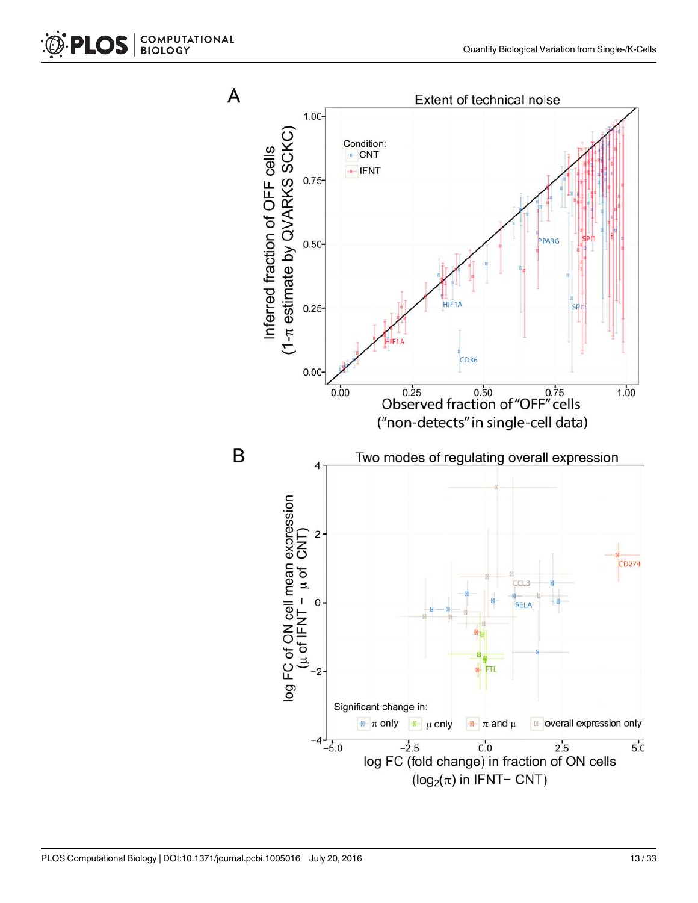

B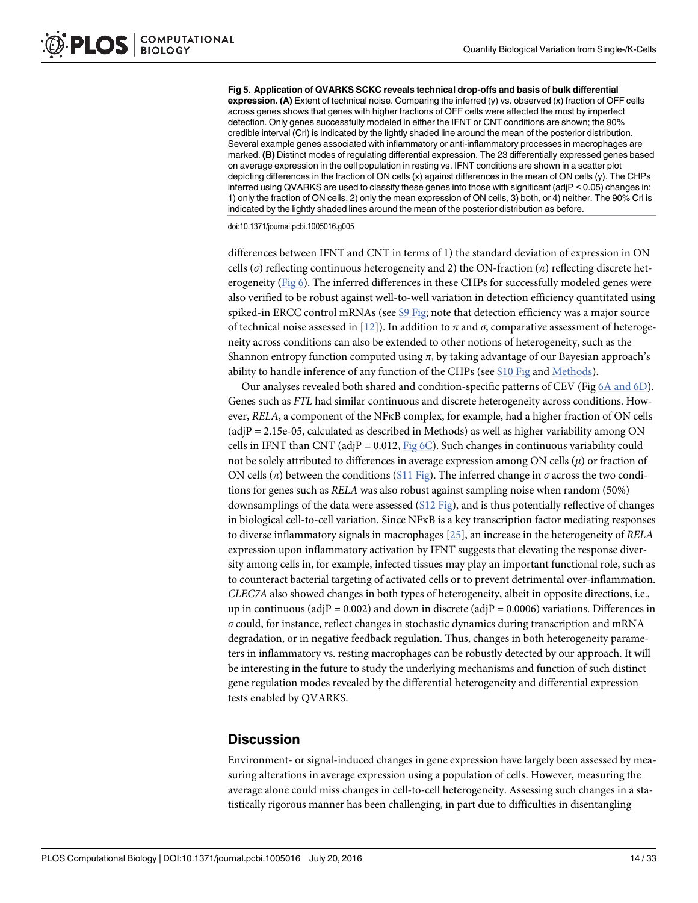Fig 5. Application of QVARKS SCKC reveals technical drop-offs and basis of bulk differential expression. (A) Extent of technical noise. Comparing the inferred (y) vs. observed (x) fraction of OFF cells across genes shows that genes with higher fractions of OFF cells were affected the most by imperfect detection. Only genes successfully modeled in either the IFNT or CNT conditions are shown; the 90% credible interval (Crl) is indicated by the lightly shaded line around the mean of the posterior distribution. Several example genes associated with inflammatory or anti-inflammatory processes in macrophages are marked. (B) Distinct modes of regulating differential expression. The 23 differentially expressed genes based on average expression in the cell population in resting vs. IFNT conditions are shown in a scatter plot depicting differences in the fraction of ON cells (x) against differences in the mean of ON cells (y). The CHPs inferred using QVARKS are used to classify these genes into those with significant (adjP < 0.05) changes in: 1) only the fraction of ON cells, 2) only the mean expression of ON cells, 3) both, or 4) neither. The 90% Crl is indicated by the lightly shaded lines around the mean of the posterior distribution as before.

doi:10.1371/journal.pcbi.1005016.g005

differences between IFNT and CNT in terms of 1) the standard deviation of expression in ON cells ( $\sigma$ ) reflecting continuous heterogeneity and 2) the ON-fraction ( $\pi$ ) reflecting discrete heterogeneity (Fig 6). The inferred differences in these CHPs for successfully modeled genes were also verified to be robust against well-to-well variation in detection efficiency quantitated using spiked-in ERCC control mRNAs (see S9 Fig; note that detection efficiency was a major source of technical noise assessed in [12]). In addition to π and σ, comparative assessment of heterogeneity across conditions can also be extended to other notions of heterogeneity, such as the Shannon entropy function computed using  $\pi$ , by taking advantage of our Bayesian approach's ability to handle inference of any function of the CHPs (see S10 Fig and Methods).

Our analyses revealed both shared and condition-specific patterns of CEV (Fig 6A and 6D). Genes such as FTL had similar continuous and discrete heterogeneity across conditions. However, RELA, a component of the NFκB complex, for example, had a higher fraction of ON cells  $(adiP = 2.15e-05, calculated as described in Methods)$  as well as higher variability among ON cells in IFNT than CNT (adjP = 0.012, Fig  $6C$ ). Such changes in continuous variability could not be solely attributed to differences in average expression among ON cells  $(\mu)$  or fraction of ON cells (π) between the conditions (S11 Fig). The inferred change in σ across the two conditions for genes such as RELA was also robust against sampling noise when random (50%) downsamplings of the data were assessed (S12 Fig), and is thus potentially reflective of changes in biological cell-to-cell variation. Since NFκB is a key transcription factor mediating responses to diverse inflammatory signals in macrophages [25], an increase in the heterogeneity of RELA expression upon inflammatory activation by IFNT suggests that elevating the response diversity among cells in, for example, infected tissues may play an important functional role, such as to counteract bacterial targeting of activated cells or to prevent detrimental over-inflammation. CLEC7A also showed changes in both types of heterogeneity, albeit in opposite directions, i.e., up in continuous (adjP = 0.002) and down in discrete (adjP = 0.0006) variations. Differences in  $\sigma$  could, for instance, reflect changes in stochastic dynamics during transcription and mRNA degradation, or in negative feedback regulation. Thus, changes in both heterogeneity parameters in inflammatory vs. resting macrophages can be robustly detected by our approach. It will be interesting in the future to study the underlying mechanisms and function of such distinct gene regulation modes revealed by the differential heterogeneity and differential expression tests enabled by QVARKS.

#### **Discussion**

Environment- or signal-induced changes in gene expression have largely been assessed by measuring alterations in average expression using a population of cells. However, measuring the average alone could miss changes in cell-to-cell heterogeneity. Assessing such changes in a statistically rigorous manner has been challenging, in part due to difficulties in disentangling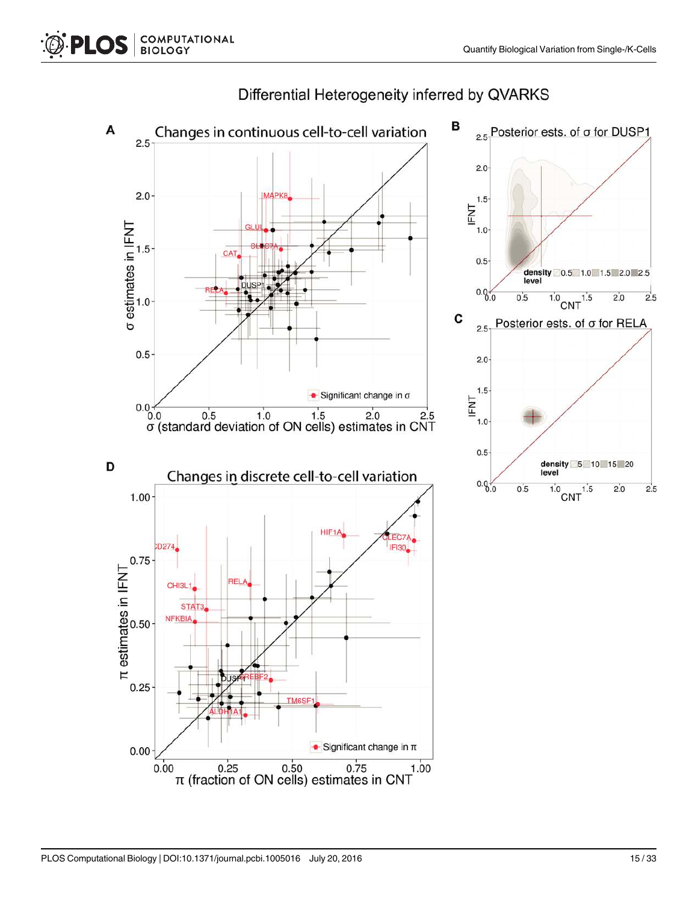

# Differential Heterogeneity inferred by QVARKS

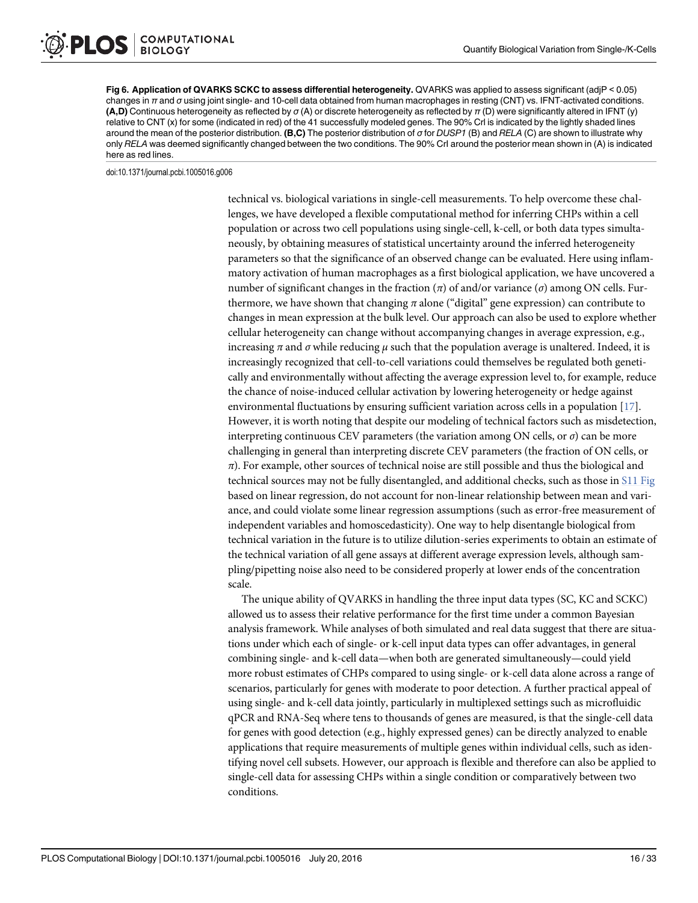Fig 6. Application of QVARKS SCKC to assess differential heterogeneity. QVARKS was applied to assess significant (adjP < 0.05) changes in  $\pi$  and  $\sigma$  using joint single- and 10-cell data obtained from human macrophages in resting (CNT) vs. IFNT-activated conditions. (A,D) Continuous heterogeneity as reflected by  $\sigma(A)$  or discrete heterogeneity as reflected by  $\pi(D)$  were significantly altered in IFNT (y) relative to CNT (x) for some (indicated in red) of the 41 successfully modeled genes. The 90% Crl is indicated by the lightly shaded lines around the mean of the posterior distribution. (B,C) The posterior distribution of  $\sigma$  for DUSP1 (B) and RELA (C) are shown to illustrate why only RELA was deemed significantly changed between the two conditions. The 90% CrI around the posterior mean shown in (A) is indicated here as red lines.

doi:10.1371/journal.pcbi.1005016.g006

technical vs. biological variations in single-cell measurements. To help overcome these challenges, we have developed a flexible computational method for inferring CHPs within a cell population or across two cell populations using single-cell, k-cell, or both data types simultaneously, by obtaining measures of statistical uncertainty around the inferred heterogeneity parameters so that the significance of an observed change can be evaluated. Here using inflammatory activation of human macrophages as a first biological application, we have uncovered a number of significant changes in the fraction (π) of and/or variance (σ) among ON cells. Furthermore, we have shown that changing  $\pi$  alone ("digital" gene expression) can contribute to changes in mean expression at the bulk level. Our approach can also be used to explore whether cellular heterogeneity can change without accompanying changes in average expression, e.g., increasing  $\pi$  and  $\sigma$  while reducing  $\mu$  such that the population average is unaltered. Indeed, it is increasingly recognized that cell-to-cell variations could themselves be regulated both genetically and environmentally without affecting the average expression level to, for example, reduce the chance of noise-induced cellular activation by lowering heterogeneity or hedge against environmental fluctuations by ensuring sufficient variation across cells in a population [17]. However, it is worth noting that despite our modeling of technical factors such as misdetection, interpreting continuous CEV parameters (the variation among ON cells, or  $\sigma$ ) can be more challenging in general than interpreting discrete CEV parameters (the fraction of ON cells, or  $\pi$ ). For example, other sources of technical noise are still possible and thus the biological and technical sources may not be fully disentangled, and additional checks, such as those in S11 Fig based on linear regression, do not account for non-linear relationship between mean and variance, and could violate some linear regression assumptions (such as error-free measurement of independent variables and homoscedasticity). One way to help disentangle biological from technical variation in the future is to utilize dilution-series experiments to obtain an estimate of the technical variation of all gene assays at different average expression levels, although sampling/pipetting noise also need to be considered properly at lower ends of the concentration scale.

The unique ability of QVARKS in handling the three input data types (SC, KC and SCKC) allowed us to assess their relative performance for the first time under a common Bayesian analysis framework. While analyses of both simulated and real data suggest that there are situations under which each of single- or k-cell input data types can offer advantages, in general combining single- and k-cell data—when both are generated simultaneously—could yield more robust estimates of CHPs compared to using single- or k-cell data alone across a range of scenarios, particularly for genes with moderate to poor detection. A further practical appeal of using single- and k-cell data jointly, particularly in multiplexed settings such as microfluidic qPCR and RNA-Seq where tens to thousands of genes are measured, is that the single-cell data for genes with good detection (e.g., highly expressed genes) can be directly analyzed to enable applications that require measurements of multiple genes within individual cells, such as identifying novel cell subsets. However, our approach is flexible and therefore can also be applied to single-cell data for assessing CHPs within a single condition or comparatively between two conditions.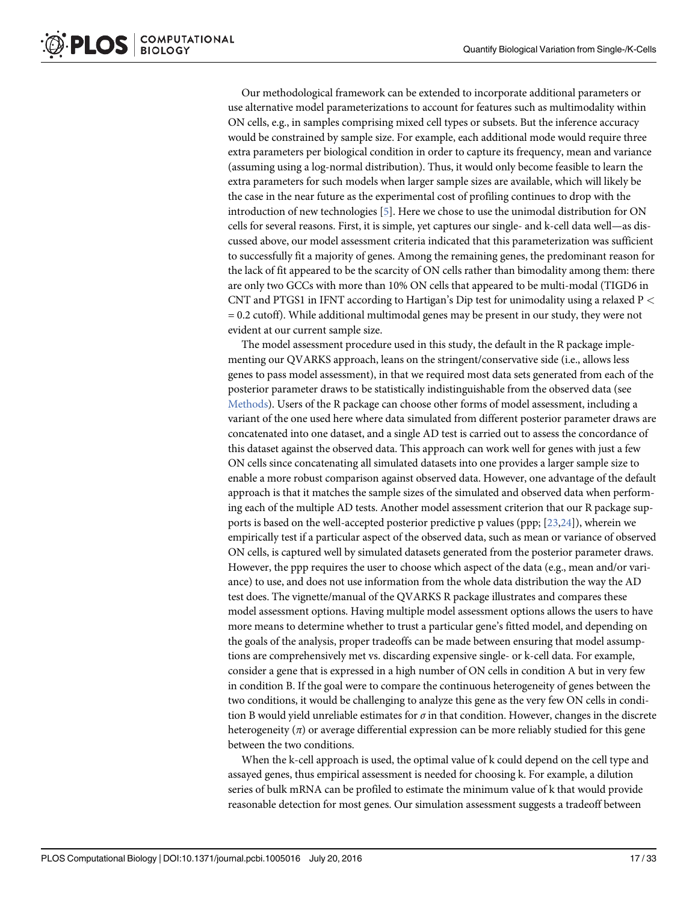Our methodological framework can be extended to incorporate additional parameters or use alternative model parameterizations to account for features such as multimodality within ON cells, e.g., in samples comprising mixed cell types or subsets. But the inference accuracy would be constrained by sample size. For example, each additional mode would require three extra parameters per biological condition in order to capture its frequency, mean and variance (assuming using a log-normal distribution). Thus, it would only become feasible to learn the extra parameters for such models when larger sample sizes are available, which will likely be the case in the near future as the experimental cost of profiling continues to drop with the introduction of new technologies [5]. Here we chose to use the unimodal distribution for ON cells for several reasons. First, it is simple, yet captures our single- and k-cell data well—as discussed above, our model assessment criteria indicated that this parameterization was sufficient to successfully fit a majority of genes. Among the remaining genes, the predominant reason for the lack of fit appeared to be the scarcity of ON cells rather than bimodality among them: there are only two GCCs with more than 10% ON cells that appeared to be multi-modal (TIGD6 in CNT and PTGS1 in IFNT according to Hartigan's Dip test for unimodality using a relaxed P <  $= 0.2$  cutoff). While additional multimodal genes may be present in our study, they were not evident at our current sample size.

The model assessment procedure used in this study, the default in the R package implementing our QVARKS approach, leans on the stringent/conservative side (i.e., allows less genes to pass model assessment), in that we required most data sets generated from each of the posterior parameter draws to be statistically indistinguishable from the observed data (see Methods). Users of the R package can choose other forms of model assessment, including a variant of the one used here where data simulated from different posterior parameter draws are concatenated into one dataset, and a single AD test is carried out to assess the concordance of this dataset against the observed data. This approach can work well for genes with just a few ON cells since concatenating all simulated datasets into one provides a larger sample size to enable a more robust comparison against observed data. However, one advantage of the default approach is that it matches the sample sizes of the simulated and observed data when performing each of the multiple AD tests. Another model assessment criterion that our R package supports is based on the well-accepted posterior predictive p values (ppp; [23,24]), wherein we empirically test if a particular aspect of the observed data, such as mean or variance of observed ON cells, is captured well by simulated datasets generated from the posterior parameter draws. However, the ppp requires the user to choose which aspect of the data (e.g., mean and/or variance) to use, and does not use information from the whole data distribution the way the AD test does. The vignette/manual of the QVARKS R package illustrates and compares these model assessment options. Having multiple model assessment options allows the users to have more means to determine whether to trust a particular gene's fitted model, and depending on the goals of the analysis, proper tradeoffs can be made between ensuring that model assumptions are comprehensively met vs. discarding expensive single- or k-cell data. For example, consider a gene that is expressed in a high number of ON cells in condition A but in very few in condition B. If the goal were to compare the continuous heterogeneity of genes between the two conditions, it would be challenging to analyze this gene as the very few ON cells in condition B would yield unreliable estimates for  $\sigma$  in that condition. However, changes in the discrete heterogeneity  $(\pi)$  or average differential expression can be more reliably studied for this gene between the two conditions.

When the k-cell approach is used, the optimal value of k could depend on the cell type and assayed genes, thus empirical assessment is needed for choosing k. For example, a dilution series of bulk mRNA can be profiled to estimate the minimum value of k that would provide reasonable detection for most genes. Our simulation assessment suggests a tradeoff between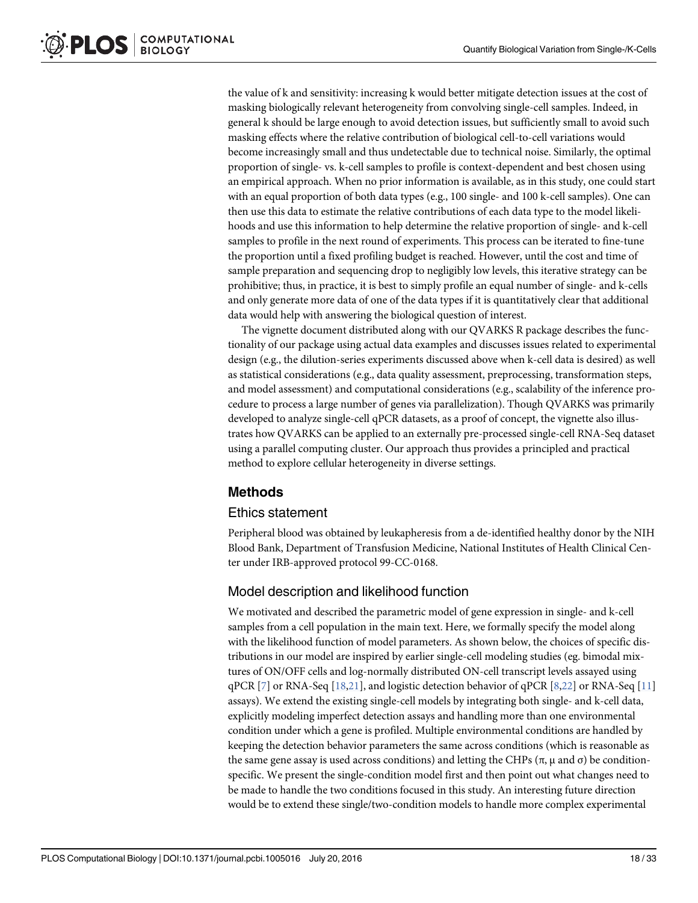the value of k and sensitivity: increasing k would better mitigate detection issues at the cost of masking biologically relevant heterogeneity from convolving single-cell samples. Indeed, in general k should be large enough to avoid detection issues, but sufficiently small to avoid such masking effects where the relative contribution of biological cell-to-cell variations would become increasingly small and thus undetectable due to technical noise. Similarly, the optimal proportion of single- vs. k-cell samples to profile is context-dependent and best chosen using an empirical approach. When no prior information is available, as in this study, one could start with an equal proportion of both data types (e.g., 100 single- and 100 k-cell samples). One can then use this data to estimate the relative contributions of each data type to the model likelihoods and use this information to help determine the relative proportion of single- and k-cell samples to profile in the next round of experiments. This process can be iterated to fine-tune the proportion until a fixed profiling budget is reached. However, until the cost and time of sample preparation and sequencing drop to negligibly low levels, this iterative strategy can be prohibitive; thus, in practice, it is best to simply profile an equal number of single- and k-cells and only generate more data of one of the data types if it is quantitatively clear that additional data would help with answering the biological question of interest.

The vignette document distributed along with our QVARKS R package describes the functionality of our package using actual data examples and discusses issues related to experimental design (e.g., the dilution-series experiments discussed above when k-cell data is desired) as well as statistical considerations (e.g., data quality assessment, preprocessing, transformation steps, and model assessment) and computational considerations (e.g., scalability of the inference procedure to process a large number of genes via parallelization). Though QVARKS was primarily developed to analyze single-cell qPCR datasets, as a proof of concept, the vignette also illustrates how QVARKS can be applied to an externally pre-processed single-cell RNA-Seq dataset using a parallel computing cluster. Our approach thus provides a principled and practical method to explore cellular heterogeneity in diverse settings.

# Methods

#### Ethics statement

Peripheral blood was obtained by leukapheresis from a de-identified healthy donor by the NIH Blood Bank, Department of Transfusion Medicine, National Institutes of Health Clinical Center under IRB-approved protocol 99-CC-0168.

# Model description and likelihood function

We motivated and described the parametric model of gene expression in single- and k-cell samples from a cell population in the main text. Here, we formally specify the model along with the likelihood function of model parameters. As shown below, the choices of specific distributions in our model are inspired by earlier single-cell modeling studies (eg. bimodal mixtures of ON/OFF cells and log-normally distributed ON-cell transcript levels assayed using qPCR  $[7]$  or RNA-Seq  $[18,21]$ , and logistic detection behavior of qPCR  $[8,22]$  or RNA-Seq  $[11]$ assays). We extend the existing single-cell models by integrating both single- and k-cell data, explicitly modeling imperfect detection assays and handling more than one environmental condition under which a gene is profiled. Multiple environmental conditions are handled by keeping the detection behavior parameters the same across conditions (which is reasonable as the same gene assay is used across conditions) and letting the CHPs ( $\pi$ ,  $\mu$  and  $\sigma$ ) be conditionspecific. We present the single-condition model first and then point out what changes need to be made to handle the two conditions focused in this study. An interesting future direction would be to extend these single/two-condition models to handle more complex experimental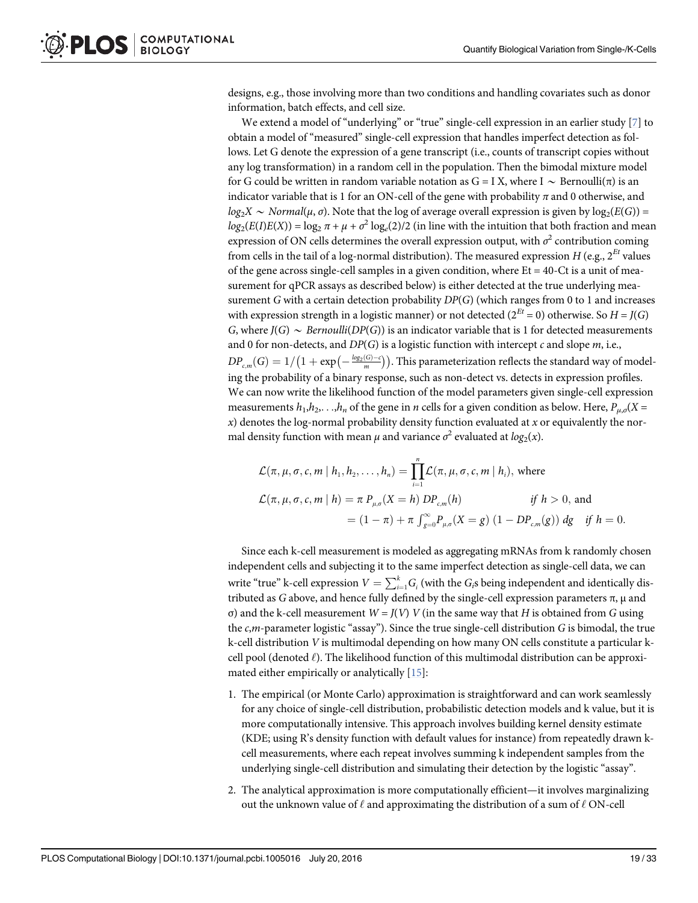designs, e.g., those involving more than two conditions and handling covariates such as donor information, batch effects, and cell size.

We extend a model of "underlying" or "true" single-cell expression in an earlier study [7] to obtain a model of "measured" single-cell expression that handles imperfect detection as follows. Let G denote the expression of a gene transcript (i.e., counts of transcript copies without any log transformation) in a random cell in the population. Then the bimodal mixture model for G could be written in random variable notation as G = I X, where I  $\sim$  Bernoulli( $\pi$ ) is an indicator variable that is 1 for an ON-cell of the gene with probability  $\pi$  and 0 otherwise, and  $log_2X \sim Normal(\mu, \sigma)$ . Note that the log of average overall expression is given by  $log_2(E(G))$  =  $log_2(E(I)E(X)) = log_2 \pi + \mu + \sigma^2 log_e(2)/2$  (in line with the intuition that both fraction and mean expression of ON cells determines the overall expression output, with  $\sigma^2$  contribution coming from cells in the tail of a log-normal distribution). The measured expression H (e.g.,  $2^{Et}$  values of the gene across single-cell samples in a given condition, where  $Et = 40$ -Ct is a unit of measurement for qPCR assays as described below) is either detected at the true underlying measurement G with a certain detection probability  $DP(G)$  (which ranges from 0 to 1 and increases with expression strength in a logistic manner) or not detected ( $2^{Et} = 0$ ) otherwise. So  $H = J(G)$ G, where  $J(G) \sim Bernoulli(DP(G))$  is an indicator variable that is 1 for detected measurements and 0 for non-detects, and  $DP(G)$  is a logistic function with intercept c and slope  $m$ , i.e.,  $DP_{c,m}(G)=1/\big(1+\exp\bigl(-\frac{\log_2(G)-c}{m}\bigr)\big).$  This parameterization reflects the standard way of modeling the probability of a binary response, such as non-detect vs. detects in expression profiles. We can now write the likelihood function of the model parameters given single-cell expression measurements  $h_1, h_2, \ldots, h_n$  of the gene in *n* cells for a given condition as below. Here,  $P_{\mu,\sigma}(X=$  $x$ ) denotes the log-normal probability density function evaluated at  $x$  or equivalently the normal density function with mean  $\mu$  and variance  $\sigma^2$  evaluated at  $log_2(x)$ .

$$
\mathcal{L}(\pi, \mu, \sigma, c, m | h_1, h_2, \dots, h_n) = \prod_{i=1}^n \mathcal{L}(\pi, \mu, \sigma, c, m | h_i), \text{ where}
$$
\n
$$
\mathcal{L}(\pi, \mu, \sigma, c, m | h) = \pi P_{\mu, \sigma}(X = h) D P_{c,m}(h) \qquad \text{if } h > 0, \text{ and}
$$
\n
$$
= (1 - \pi) + \pi \int_{g=0}^{\infty} P_{\mu, \sigma}(X = g) (1 - D P_{c,m}(g)) dg \quad \text{if } h = 0.
$$

Since each k-cell measurement is modeled as aggregating mRNAs from k randomly chosen independent cells and subjecting it to the same imperfect detection as single-cell data, we can write "true" k-cell expression  $V = \sum_{i=1}^{k} G_i$  (with the  $G_i$ s being independent and identically distributed as G above, and hence fully defined by the single-cell expression parameters  $\pi$ ,  $\mu$  and σ) and the k-cell measurement  $W = J(V)$  V (in the same way that H is obtained from G using the  $c,m$ -parameter logistic "assay"). Since the true single-cell distribution G is bimodal, the true k-cell distribution V is multimodal depending on how many ON cells constitute a particular kcell pool (denoted  $\ell$ ). The likelihood function of this multimodal distribution can be approximated either empirically or analytically [15]:

- 1. The empirical (or Monte Carlo) approximation is straightforward and can work seamlessly for any choice of single-cell distribution, probabilistic detection models and k value, but it is more computationally intensive. This approach involves building kernel density estimate (KDE; using R's density function with default values for instance) from repeatedly drawn kcell measurements, where each repeat involves summing k independent samples from the underlying single-cell distribution and simulating their detection by the logistic "assay".
- 2. The analytical approximation is more computationally efficient—it involves marginalizing out the unknown value of  $\ell$  and approximating the distribution of a sum of  $\ell$  ON-cell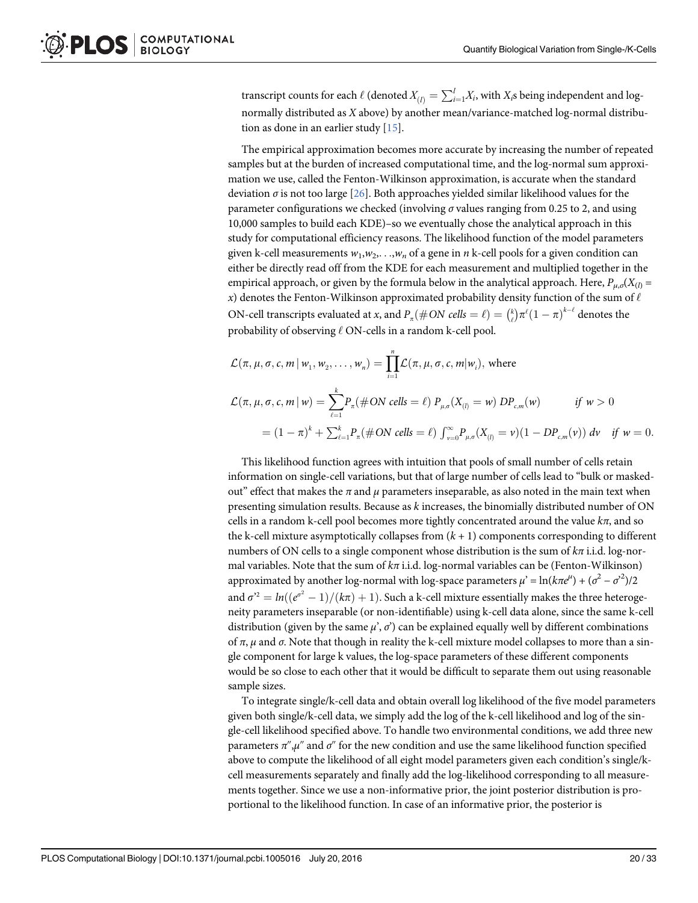transcript counts for each  $\ell$  (denoted  $X_{(I)} = \sum_{i=1}^l X_i$ , with  $X_i$ s being independent and lognormally distributed as X above) by another mean/variance-matched log-normal distribution as done in an earlier study [15].

The empirical approximation becomes more accurate by increasing the number of repeated samples but at the burden of increased computational time, and the log-normal sum approximation we use, called the Fenton-Wilkinson approximation, is accurate when the standard deviation  $\sigma$  is not too large [26]. Both approaches yielded similar likelihood values for the parameter configurations we checked (involving  $\sigma$  values ranging from 0.25 to 2, and using 10,000 samples to build each KDE)–so we eventually chose the analytical approach in this study for computational efficiency reasons. The likelihood function of the model parameters given k-cell measurements  $w_1, w_2, \ldots, w_n$  of a gene in n k-cell pools for a given condition can either be directly read off from the KDE for each measurement and multiplied together in the empirical approach, or given by the formula below in the analytical approach. Here,  $P_{\mu,\sigma}(X_{(l)} =$ x) denotes the Fenton-Wilkinson approximated probability density function of the sum of  $\ell$ ON-cell transcripts evaluated at x, and  $P_{\pi}(\# ON \ cells = \ell) = \binom{k}{\ell} \pi^{\ell} (1-\pi)^{k-\ell}$  denotes the probability of observing  $\ell$  ON-cells in a random k-cell pool.

$$
\mathcal{L}(\pi, \mu, \sigma, c, m | w_1, w_2, \dots, w_n) = \prod_{i=1}^n \mathcal{L}(\pi, \mu, \sigma, c, m | w_i), \text{ where}
$$
\n
$$
\mathcal{L}(\pi, \mu, \sigma, c, m | w) = \sum_{\ell=1}^k P_\pi(\# ON \text{ cells} = \ell) P_{\mu, \sigma}(X_{(l)} = w) D P_{c,m}(w) \qquad \text{if } w > 0
$$
\n
$$
= (1 - \pi)^k + \sum_{\ell=1}^k P_\pi(\# ON \text{ cells} = \ell) \int_{v=0}^\infty P_{\mu, \sigma}(X_{(l)} = v)(1 - D P_{c,m}(v)) \, dv \quad \text{if } w = 0.
$$

This likelihood function agrees with intuition that pools of small number of cells retain information on single-cell variations, but that of large number of cells lead to "bulk or maskedout" effect that makes the  $\pi$  and  $\mu$  parameters inseparable, as also noted in the main text when presenting simulation results. Because as k increases, the binomially distributed number of ON cells in a random k-cell pool becomes more tightly concentrated around the value  $k\pi$ , and so the k-cell mixture asymptotically collapses from  $(k + 1)$  components corresponding to different numbers of ON cells to a single component whose distribution is the sum of  $k\pi$  i.i.d. log-normal variables. Note that the sum of  $k\pi$  i.i.d. log-normal variables can be (Fenton-Wilkinson) approximated by another log-normal with log-space parameters  $\mu' = \ln(k\pi e^{\mu}) + (\sigma^2 - \sigma^2)/2$ and  $\sigma^{\text{2}}=ln((e^{\sigma^2}-1)/(k\pi)+1).$  Such a k-cell mixture essentially makes the three heterogeneity parameters inseparable (or non-identifiable) using k-cell data alone, since the same k-cell distribution (given by the same  $\mu$ ',  $\sigma$ ') can be explained equally well by different combinations of π,  $\mu$  and σ. Note that though in reality the k-cell mixture model collapses to more than a single component for large k values, the log-space parameters of these different components would be so close to each other that it would be difficult to separate them out using reasonable sample sizes.

To integrate single/k-cell data and obtain overall log likelihood of the five model parameters given both single/k-cell data, we simply add the log of the k-cell likelihood and log of the single-cell likelihood specified above. To handle two environmental conditions, we add three new parameters  $\pi^{\prime\prime}, \mu^{\prime\prime}$  and  $\sigma^{\prime\prime}$  for the new condition and use the same likelihood function specified above to compute the likelihood of all eight model parameters given each condition's single/kcell measurements separately and finally add the log-likelihood corresponding to all measurements together. Since we use a non-informative prior, the joint posterior distribution is proportional to the likelihood function. In case of an informative prior, the posterior is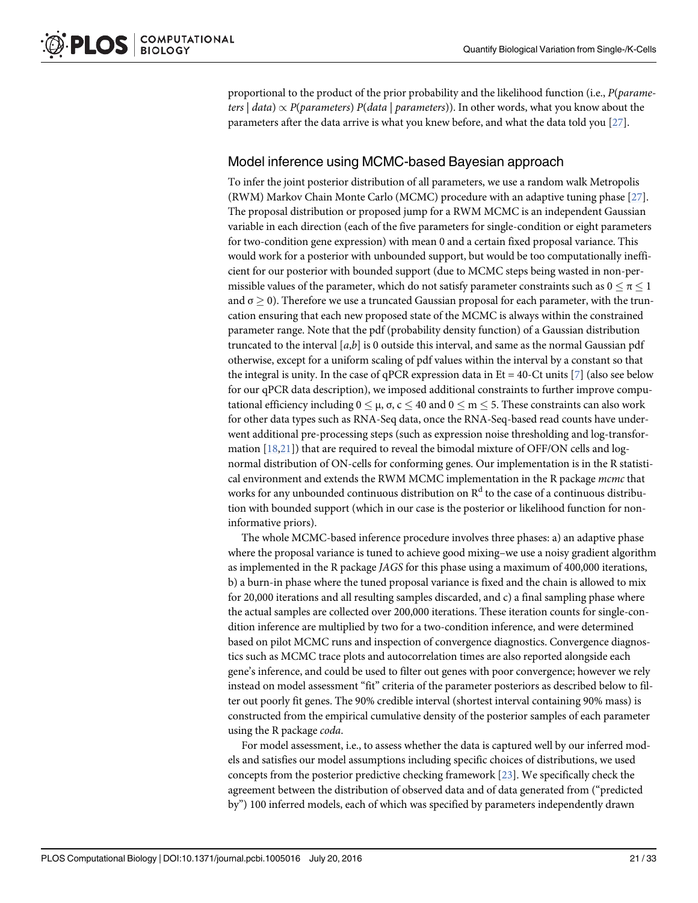proportional to the product of the prior probability and the likelihood function (i.e.,  $P(parame$ ters  $|data| \propto P(\text{parameters}) P(data | \text{parameters})$ . In other words, what you know about the parameters after the data arrive is what you knew before, and what the data told you  $[27]$ .

# Model inference using MCMC-based Bayesian approach

To infer the joint posterior distribution of all parameters, we use a random walk Metropolis (RWM) Markov Chain Monte Carlo (MCMC) procedure with an adaptive tuning phase [27]. The proposal distribution or proposed jump for a RWM MCMC is an independent Gaussian variable in each direction (each of the five parameters for single-condition or eight parameters for two-condition gene expression) with mean 0 and a certain fixed proposal variance. This would work for a posterior with unbounded support, but would be too computationally inefficient for our posterior with bounded support (due to MCMC steps being wasted in non-permissible values of the parameter, which do not satisfy parameter constraints such as  $0 \le \pi \le 1$ and  $\sigma > 0$ ). Therefore we use a truncated Gaussian proposal for each parameter, with the truncation ensuring that each new proposed state of the MCMC is always within the constrained parameter range. Note that the pdf (probability density function) of a Gaussian distribution truncated to the interval  $[a,b]$  is 0 outside this interval, and same as the normal Gaussian pdf otherwise, except for a uniform scaling of pdf values within the interval by a constant so that the integral is unity. In the case of qPCR expression data in  $Et = 40$ -Ct units [ $\mathbb{Z}$ ] (also see below for our qPCR data description), we imposed additional constraints to further improve computational efficiency including  $0 \leq \mu$ , σ,  $c \leq 40$  and  $0 \leq m \leq 5$ . These constraints can also work for other data types such as RNA-Seq data, once the RNA-Seq-based read counts have underwent additional pre-processing steps (such as expression noise thresholding and log-transformation  $[18,21]$ ) that are required to reveal the bimodal mixture of OFF/ON cells and lognormal distribution of ON-cells for conforming genes. Our implementation is in the R statistical environment and extends the RWM MCMC implementation in the R package mcmc that works for any unbounded continuous distribution on  $R^d$  to the case of a continuous distribution with bounded support (which in our case is the posterior or likelihood function for noninformative priors).

The whole MCMC-based inference procedure involves three phases: a) an adaptive phase where the proposal variance is tuned to achieve good mixing–we use a noisy gradient algorithm as implemented in the R package JAGS for this phase using a maximum of 400,000 iterations, b) a burn-in phase where the tuned proposal variance is fixed and the chain is allowed to mix for 20,000 iterations and all resulting samples discarded, and c) a final sampling phase where the actual samples are collected over 200,000 iterations. These iteration counts for single-condition inference are multiplied by two for a two-condition inference, and were determined based on pilot MCMC runs and inspection of convergence diagnostics. Convergence diagnostics such as MCMC trace plots and autocorrelation times are also reported alongside each gene's inference, and could be used to filter out genes with poor convergence; however we rely instead on model assessment "fit" criteria of the parameter posteriors as described below to filter out poorly fit genes. The 90% credible interval (shortest interval containing 90% mass) is constructed from the empirical cumulative density of the posterior samples of each parameter using the R package coda.

For model assessment, i.e., to assess whether the data is captured well by our inferred models and satisfies our model assumptions including specific choices of distributions, we used concepts from the posterior predictive checking framework [23]. We specifically check the agreement between the distribution of observed data and of data generated from ("predicted by") 100 inferred models, each of which was specified by parameters independently drawn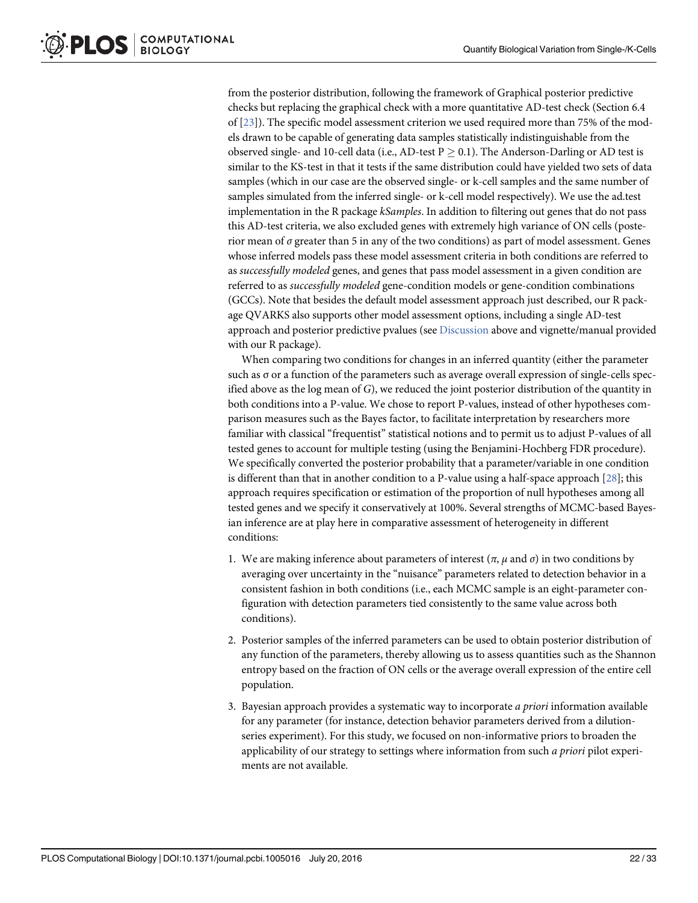from the posterior distribution, following the framework of Graphical posterior predictive checks but replacing the graphical check with a more quantitative AD-test check (Section 6.4 of [23]). The specific model assessment criterion we used required more than 75% of the models drawn to be capable of generating data samples statistically indistinguishable from the observed single- and 10-cell data (i.e., AD-test  $P > 0.1$ ). The Anderson-Darling or AD test is similar to the KS-test in that it tests if the same distribution could have yielded two sets of data samples (which in our case are the observed single- or k-cell samples and the same number of samples simulated from the inferred single- or k-cell model respectively). We use the ad.test implementation in the R package *kSamples*. In addition to filtering out genes that do not pass this AD-test criteria, we also excluded genes with extremely high variance of ON cells (posterior mean of  $\sigma$  greater than 5 in any of the two conditions) as part of model assessment. Genes whose inferred models pass these model assessment criteria in both conditions are referred to as successfully modeled genes, and genes that pass model assessment in a given condition are referred to as successfully modeled gene-condition models or gene-condition combinations (GCCs). Note that besides the default model assessment approach just described, our R package QVARKS also supports other model assessment options, including a single AD-test approach and posterior predictive pvalues (see Discussion above and vignette/manual provided with our R package).

When comparing two conditions for changes in an inferred quantity (either the parameter such as σ or a function of the parameters such as average overall expression of single-cells specified above as the log mean of G), we reduced the joint posterior distribution of the quantity in both conditions into a P-value. We chose to report P-values, instead of other hypotheses comparison measures such as the Bayes factor, to facilitate interpretation by researchers more familiar with classical "frequentist" statistical notions and to permit us to adjust P-values of all tested genes to account for multiple testing (using the Benjamini-Hochberg FDR procedure). We specifically converted the posterior probability that a parameter/variable in one condition is different than that in another condition to a P-value using a half-space approach [28]; this approach requires specification or estimation of the proportion of null hypotheses among all tested genes and we specify it conservatively at 100%. Several strengths of MCMC-based Bayesian inference are at play here in comparative assessment of heterogeneity in different conditions:

- 1. We are making inference about parameters of interest ( $\pi$ ,  $\mu$  and  $\sigma$ ) in two conditions by averaging over uncertainty in the "nuisance" parameters related to detection behavior in a consistent fashion in both conditions (i.e., each MCMC sample is an eight-parameter configuration with detection parameters tied consistently to the same value across both conditions).
- 2. Posterior samples of the inferred parameters can be used to obtain posterior distribution of any function of the parameters, thereby allowing us to assess quantities such as the Shannon entropy based on the fraction of ON cells or the average overall expression of the entire cell population.
- 3. Bayesian approach provides a systematic way to incorporate a priori information available for any parameter (for instance, detection behavior parameters derived from a dilutionseries experiment). For this study, we focused on non-informative priors to broaden the applicability of our strategy to settings where information from such a priori pilot experiments are not available.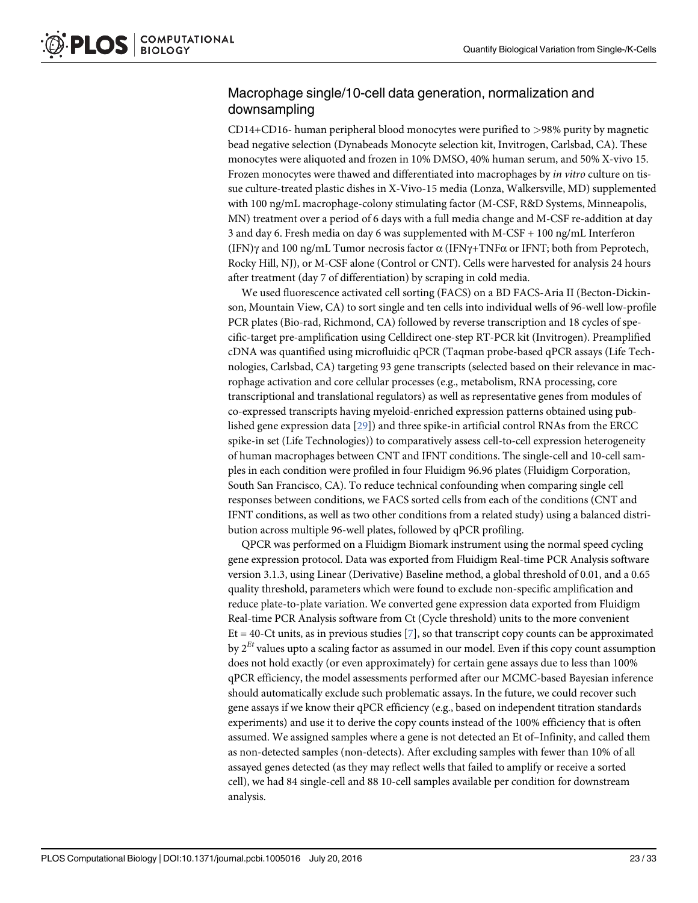#### Macrophage single/10-cell data generation, normalization and downsampling

CD14+CD16- human peripheral blood monocytes were purified to >98% purity by magnetic bead negative selection (Dynabeads Monocyte selection kit, Invitrogen, Carlsbad, CA). These monocytes were aliquoted and frozen in 10% DMSO, 40% human serum, and 50% X-vivo 15. Frozen monocytes were thawed and differentiated into macrophages by in vitro culture on tissue culture-treated plastic dishes in X-Vivo-15 media (Lonza, Walkersville, MD) supplemented with 100 ng/mL macrophage-colony stimulating factor (M-CSF, R&D Systems, Minneapolis, MN) treatment over a period of 6 days with a full media change and M-CSF re-addition at day 3 and day 6. Fresh media on day 6 was supplemented with M-CSF + 100 ng/mL Interferon (IFN) $\gamma$  and 100 ng/mL Tumor necrosis factor  $\alpha$  (IFN $\gamma$ +TNF $\alpha$  or IFNT; both from Peprotech, Rocky Hill, NJ), or M-CSF alone (Control or CNT). Cells were harvested for analysis 24 hours after treatment (day 7 of differentiation) by scraping in cold media.

We used fluorescence activated cell sorting (FACS) on a BD FACS-Aria II (Becton-Dickinson, Mountain View, CA) to sort single and ten cells into individual wells of 96-well low-profile PCR plates (Bio-rad, Richmond, CA) followed by reverse transcription and 18 cycles of specific-target pre-amplification using Celldirect one-step RT-PCR kit (Invitrogen). Preamplified cDNA was quantified using microfluidic qPCR (Taqman probe-based qPCR assays (Life Technologies, Carlsbad, CA) targeting 93 gene transcripts (selected based on their relevance in macrophage activation and core cellular processes (e.g., metabolism, RNA processing, core transcriptional and translational regulators) as well as representative genes from modules of co-expressed transcripts having myeloid-enriched expression patterns obtained using published gene expression data [29]) and three spike-in artificial control RNAs from the ERCC spike-in set (Life Technologies)) to comparatively assess cell-to-cell expression heterogeneity of human macrophages between CNT and IFNT conditions. The single-cell and 10-cell samples in each condition were profiled in four Fluidigm 96.96 plates (Fluidigm Corporation, South San Francisco, CA). To reduce technical confounding when comparing single cell responses between conditions, we FACS sorted cells from each of the conditions (CNT and IFNT conditions, as well as two other conditions from a related study) using a balanced distribution across multiple 96-well plates, followed by qPCR profiling.

QPCR was performed on a Fluidigm Biomark instrument using the normal speed cycling gene expression protocol. Data was exported from Fluidigm Real-time PCR Analysis software version 3.1.3, using Linear (Derivative) Baseline method, a global threshold of 0.01, and a 0.65 quality threshold, parameters which were found to exclude non-specific amplification and reduce plate-to-plate variation. We converted gene expression data exported from Fluidigm Real-time PCR Analysis software from Ct (Cycle threshold) units to the more convenient Et = 40-Ct units, as in previous studies  $\lbrack 7 \rbrack$ , so that transcript copy counts can be approximated by  $2^{Et}$  values upto a scaling factor as assumed in our model. Even if this copy count assumption does not hold exactly (or even approximately) for certain gene assays due to less than 100% qPCR efficiency, the model assessments performed after our MCMC-based Bayesian inference should automatically exclude such problematic assays. In the future, we could recover such gene assays if we know their qPCR efficiency (e.g., based on independent titration standards experiments) and use it to derive the copy counts instead of the 100% efficiency that is often assumed. We assigned samples where a gene is not detected an Et of–Infinity, and called them as non-detected samples (non-detects). After excluding samples with fewer than 10% of all assayed genes detected (as they may reflect wells that failed to amplify or receive a sorted cell), we had 84 single-cell and 88 10-cell samples available per condition for downstream analysis.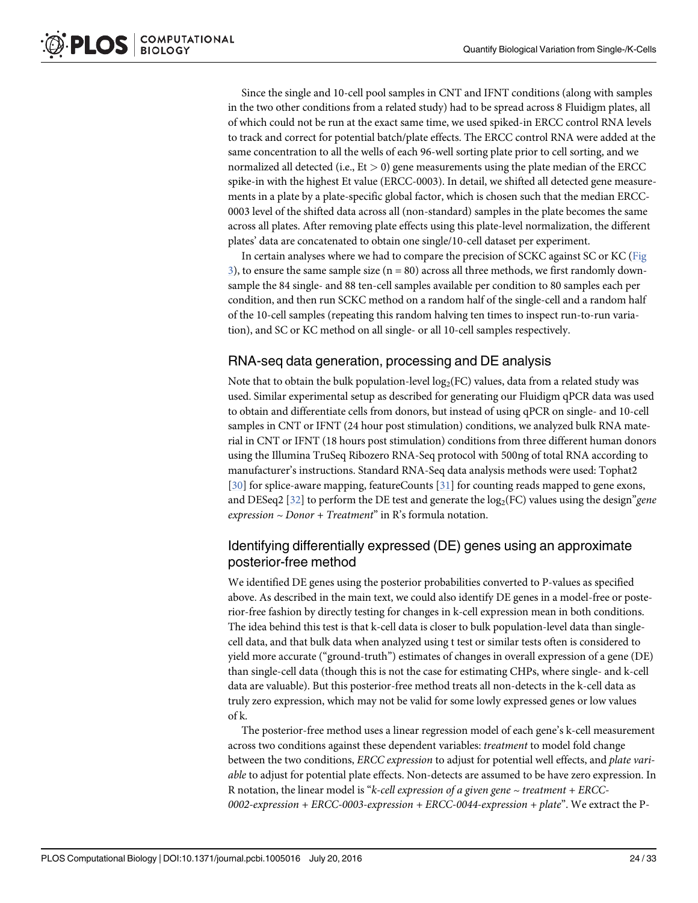Since the single and 10-cell pool samples in CNT and IFNT conditions (along with samples in the two other conditions from a related study) had to be spread across 8 Fluidigm plates, all of which could not be run at the exact same time, we used spiked-in ERCC control RNA levels to track and correct for potential batch/plate effects. The ERCC control RNA were added at the same concentration to all the wells of each 96-well sorting plate prior to cell sorting, and we normalized all detected (i.e.,  $Et > 0$ ) gene measurements using the plate median of the ERCC spike-in with the highest Et value (ERCC-0003). In detail, we shifted all detected gene measurements in a plate by a plate-specific global factor, which is chosen such that the median ERCC-0003 level of the shifted data across all (non-standard) samples in the plate becomes the same across all plates. After removing plate effects using this plate-level normalization, the different plates' data are concatenated to obtain one single/10-cell dataset per experiment.

In certain analyses where we had to compare the precision of SCKC against SC or KC (Fig 3), to ensure the same sample size  $(n = 80)$  across all three methods, we first randomly downsample the 84 single- and 88 ten-cell samples available per condition to 80 samples each per condition, and then run SCKC method on a random half of the single-cell and a random half of the 10-cell samples (repeating this random halving ten times to inspect run-to-run variation), and SC or KC method on all single- or all 10-cell samples respectively.

#### RNA-seq data generation, processing and DE analysis

Note that to obtain the bulk population-level  $\log_2(\text{FC})$  values, data from a related study was used. Similar experimental setup as described for generating our Fluidigm qPCR data was used to obtain and differentiate cells from donors, but instead of using qPCR on single- and 10-cell samples in CNT or IFNT (24 hour post stimulation) conditions, we analyzed bulk RNA material in CNT or IFNT (18 hours post stimulation) conditions from three different human donors using the Illumina TruSeq Ribozero RNA-Seq protocol with 500ng of total RNA according to manufacturer's instructions. Standard RNA-Seq data analysis methods were used: Tophat2 [30] for splice-aware mapping, featureCounts [31] for counting reads mapped to gene exons, and DESeq2 [32] to perform the DE test and generate the  $log_2(FC)$  values using the design" gene  $expression \sim Donor + Treatment$ " in R's formula notation.

#### Identifying differentially expressed (DE) genes using an approximate posterior-free method

We identified DE genes using the posterior probabilities converted to P-values as specified above. As described in the main text, we could also identify DE genes in a model-free or posterior-free fashion by directly testing for changes in k-cell expression mean in both conditions. The idea behind this test is that k-cell data is closer to bulk population-level data than singlecell data, and that bulk data when analyzed using t test or similar tests often is considered to yield more accurate ("ground-truth") estimates of changes in overall expression of a gene (DE) than single-cell data (though this is not the case for estimating CHPs, where single- and k-cell data are valuable). But this posterior-free method treats all non-detects in the k-cell data as truly zero expression, which may not be valid for some lowly expressed genes or low values of k.

The posterior-free method uses a linear regression model of each gene's k-cell measurement across two conditions against these dependent variables: treatment to model fold change between the two conditions, ERCC expression to adjust for potential well effects, and plate variable to adjust for potential plate effects. Non-detects are assumed to be have zero expression. In R notation, the linear model is "k-cell expression of a given gene  $\sim$  treatment + ERCC-0002-expression + ERCC-0003-expression + ERCC-0044-expression + plate". We extract the P-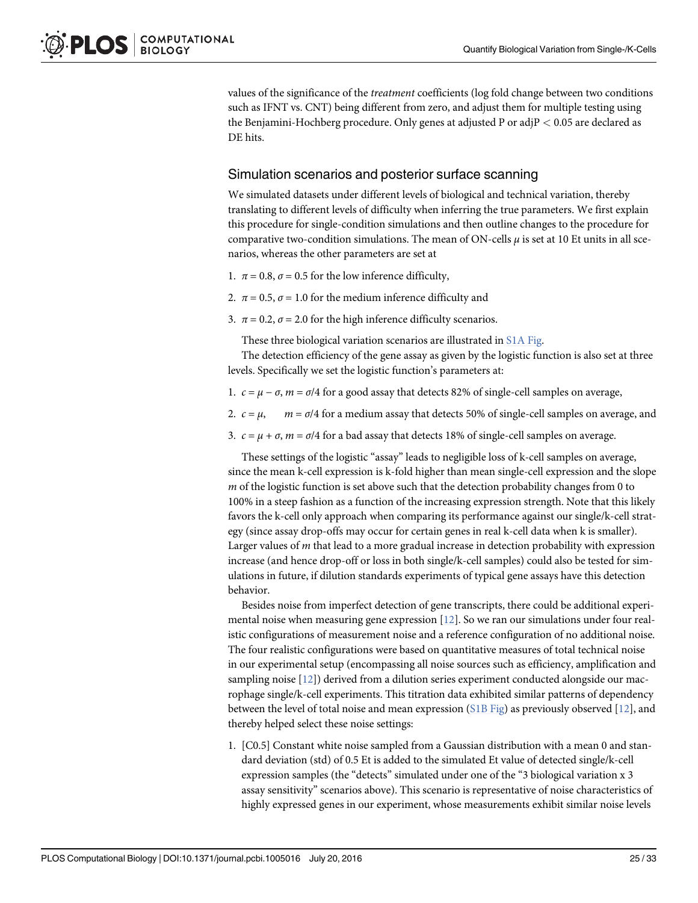values of the significance of the treatment coefficients (log fold change between two conditions such as IFNT vs. CNT) being different from zero, and adjust them for multiple testing using the Benjamini-Hochberg procedure. Only genes at adjusted P or adjP < 0.05 are declared as DE hits.

#### Simulation scenarios and posterior surface scanning

We simulated datasets under different levels of biological and technical variation, thereby translating to different levels of difficulty when inferring the true parameters. We first explain this procedure for single-condition simulations and then outline changes to the procedure for comparative two-condition simulations. The mean of ON-cells  $\mu$  is set at 10 Et units in all scenarios, whereas the other parameters are set at

- 1.  $\pi$  = 0.8,  $\sigma$  = 0.5 for the low inference difficulty,
- 2.  $\pi$  = 0.5,  $\sigma$  = 1.0 for the medium inference difficulty and
- 3.  $\pi$  = 0.2,  $\sigma$  = 2.0 for the high inference difficulty scenarios.

These three biological variation scenarios are illustrated in S1A Fig.

The detection efficiency of the gene assay as given by the logistic function is also set at three levels. Specifically we set the logistic function's parameters at:

- 1.  $c = \mu \sigma$ ,  $m = \sigma/4$  for a good assay that detects 82% of single-cell samples on average,
- 2.  $c = \mu$ ,  $m = \sigma/4$  for a medium assay that detects 50% of single-cell samples on average, and
- 3.  $c = \mu + \sigma$ ,  $m = \sigma/4$  for a bad assay that detects 18% of single-cell samples on average.

These settings of the logistic "assay" leads to negligible loss of k-cell samples on average, since the mean k-cell expression is k-fold higher than mean single-cell expression and the slope  $m$  of the logistic function is set above such that the detection probability changes from 0 to 100% in a steep fashion as a function of the increasing expression strength. Note that this likely favors the k-cell only approach when comparing its performance against our single/k-cell strategy (since assay drop-offs may occur for certain genes in real k-cell data when k is smaller). Larger values of m that lead to a more gradual increase in detection probability with expression increase (and hence drop-off or loss in both single/k-cell samples) could also be tested for simulations in future, if dilution standards experiments of typical gene assays have this detection behavior.

Besides noise from imperfect detection of gene transcripts, there could be additional experimental noise when measuring gene expression  $[12]$ . So we ran our simulations under four realistic configurations of measurement noise and a reference configuration of no additional noise. The four realistic configurations were based on quantitative measures of total technical noise in our experimental setup (encompassing all noise sources such as efficiency, amplification and sampling noise [12]) derived from a dilution series experiment conducted alongside our macrophage single/k-cell experiments. This titration data exhibited similar patterns of dependency between the level of total noise and mean expression ( $S1B$  Fig) as previously observed [12], and thereby helped select these noise settings:

1. [C0.5] Constant white noise sampled from a Gaussian distribution with a mean 0 and standard deviation (std) of 0.5 Et is added to the simulated Et value of detected single/k-cell expression samples (the "detects" simulated under one of the "3 biological variation x 3 assay sensitivity" scenarios above). This scenario is representative of noise characteristics of highly expressed genes in our experiment, whose measurements exhibit similar noise levels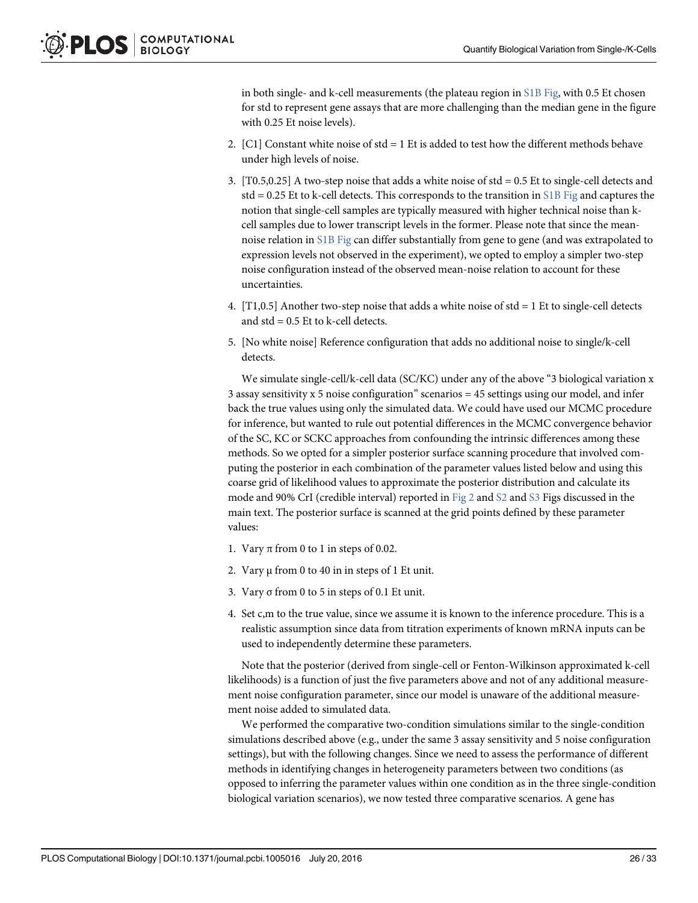in both single- and k-cell measurements (the plateau region in  $S1B$  Fig, with 0.5 Et chosen for std to represent gene assays that are more challenging than the median gene in the figure with 0.25 Et noise levels).

- 2. [C1] Constant white noise of  $std = 1$  Et is added to test how the different methods behave under high levels of noise.
- 3.  $[T0.5,0.25]$  A two-step noise that adds a white noise of std = 0.5 Et to single-cell detects and std = 0.25 Et to k-cell detects. This corresponds to the transition in S1B Fig and captures the notion that single-cell samples are typically measured with higher technical noise than kcell samples due to lower transcript levels in the former. Please note that since the meannoise relation in S1B Fig can differ substantially from gene to gene (and was extrapolated to expression levels not observed in the experiment), we opted to employ a simpler two-step noise configuration instead of the observed mean-noise relation to account for these uncertainties.
- 4.  $[T1,0.5]$  Another two-step noise that adds a white noise of std = 1 Et to single-cell detects and  $std = 0.5$  Et to k-cell detects.
- 5. [No white noise] Reference configuration that adds no additional noise to single/k-cell detects.

We simulate single-cell/k-cell data (SC/KC) under any of the above "3 biological variation x 3 assay sensitivity x 5 noise configuration" scenarios = 45 settings using our model, and infer back the true values using only the simulated data. We could have used our MCMC procedure for inference, but wanted to rule out potential differences in the MCMC convergence behavior of the SC, KC or SCKC approaches from confounding the intrinsic differences among these methods. So we opted for a simpler posterior surface scanning procedure that involved computing the posterior in each combination of the parameter values listed below and using this coarse grid of likelihood values to approximate the posterior distribution and calculate its mode and 90% CrI (credible interval) reported in Fig 2 and  $S2$  and  $S3$  Figs discussed in the main text. The posterior surface is scanned at the grid points defined by these parameter values:

- 1. Vary  $\pi$  from 0 to 1 in steps of 0.02.
- 2. Vary  $\mu$  from 0 to 40 in in steps of 1 Et unit.
- 3. Vary σ from 0 to 5 in steps of 0.1 Et unit.
- 4. Set c,m to the true value, since we assume it is known to the inference procedure. This is a realistic assumption since data from titration experiments of known mRNA inputs can be used to independently determine these parameters.

Note that the posterior (derived from single-cell or Fenton-Wilkinson approximated k-cell likelihoods) is a function of just the five parameters above and not of any additional measurement noise configuration parameter, since our model is unaware of the additional measurement noise added to simulated data.

We performed the comparative two-condition simulations similar to the single-condition simulations described above (e.g., under the same 3 assay sensitivity and 5 noise configuration settings), but with the following changes. Since we need to assess the performance of different methods in identifying changes in heterogeneity parameters between two conditions (as opposed to inferring the parameter values within one condition as in the three single-condition biological variation scenarios), we now tested three comparative scenarios. A gene has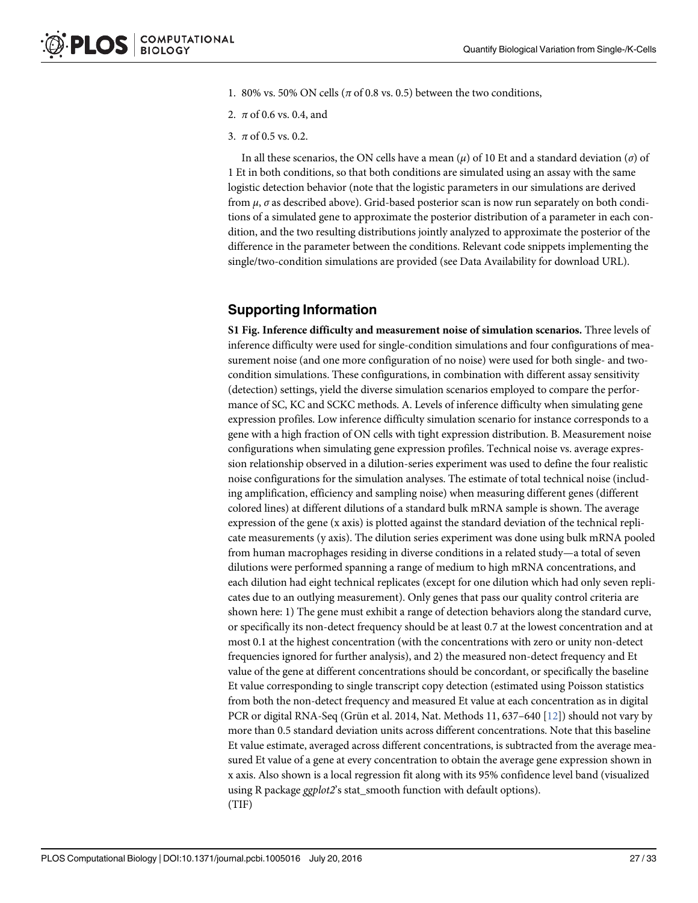- 1. 80% vs. 50% ON cells ( $\pi$  of 0.8 vs. 0.5) between the two conditions,
- 2.  $\pi$  of 0.6 vs. 0.4, and
- 3.  $\pi$  of 0.5 vs. 0.2.

In all these scenarios, the ON cells have a mean  $(\mu)$  of 10 Et and a standard deviation  $(\sigma)$  of 1 Et in both conditions, so that both conditions are simulated using an assay with the same logistic detection behavior (note that the logistic parameters in our simulations are derived from  $\mu$ ,  $\sigma$  as described above). Grid-based posterior scan is now run separately on both conditions of a simulated gene to approximate the posterior distribution of a parameter in each condition, and the two resulting distributions jointly analyzed to approximate the posterior of the difference in the parameter between the conditions. Relevant code snippets implementing the single/two-condition simulations are provided (see Data Availability for download URL).

# Supporting Information

S1 Fig. Inference difficulty and measurement noise of simulation scenarios. Three levels of inference difficulty were used for single-condition simulations and four configurations of measurement noise (and one more configuration of no noise) were used for both single- and twocondition simulations. These configurations, in combination with different assay sensitivity (detection) settings, yield the diverse simulation scenarios employed to compare the performance of SC, KC and SCKC methods. A. Levels of inference difficulty when simulating gene expression profiles. Low inference difficulty simulation scenario for instance corresponds to a gene with a high fraction of ON cells with tight expression distribution. B. Measurement noise configurations when simulating gene expression profiles. Technical noise vs. average expression relationship observed in a dilution-series experiment was used to define the four realistic noise configurations for the simulation analyses. The estimate of total technical noise (including amplification, efficiency and sampling noise) when measuring different genes (different colored lines) at different dilutions of a standard bulk mRNA sample is shown. The average expression of the gene (x axis) is plotted against the standard deviation of the technical replicate measurements (y axis). The dilution series experiment was done using bulk mRNA pooled from human macrophages residing in diverse conditions in a related study—a total of seven dilutions were performed spanning a range of medium to high mRNA concentrations, and each dilution had eight technical replicates (except for one dilution which had only seven replicates due to an outlying measurement). Only genes that pass our quality control criteria are shown here: 1) The gene must exhibit a range of detection behaviors along the standard curve, or specifically its non-detect frequency should be at least 0.7 at the lowest concentration and at most 0.1 at the highest concentration (with the concentrations with zero or unity non-detect frequencies ignored for further analysis), and 2) the measured non-detect frequency and Et value of the gene at different concentrations should be concordant, or specifically the baseline Et value corresponding to single transcript copy detection (estimated using Poisson statistics from both the non-detect frequency and measured Et value at each concentration as in digital PCR or digital RNA-Seq (Grün et al. 2014, Nat. Methods 11, 637–640 [12]) should not vary by more than 0.5 standard deviation units across different concentrations. Note that this baseline Et value estimate, averaged across different concentrations, is subtracted from the average measured Et value of a gene at every concentration to obtain the average gene expression shown in x axis. Also shown is a local regression fit along with its 95% confidence level band (visualized using R package ggplot2's stat\_smooth function with default options). (TIF)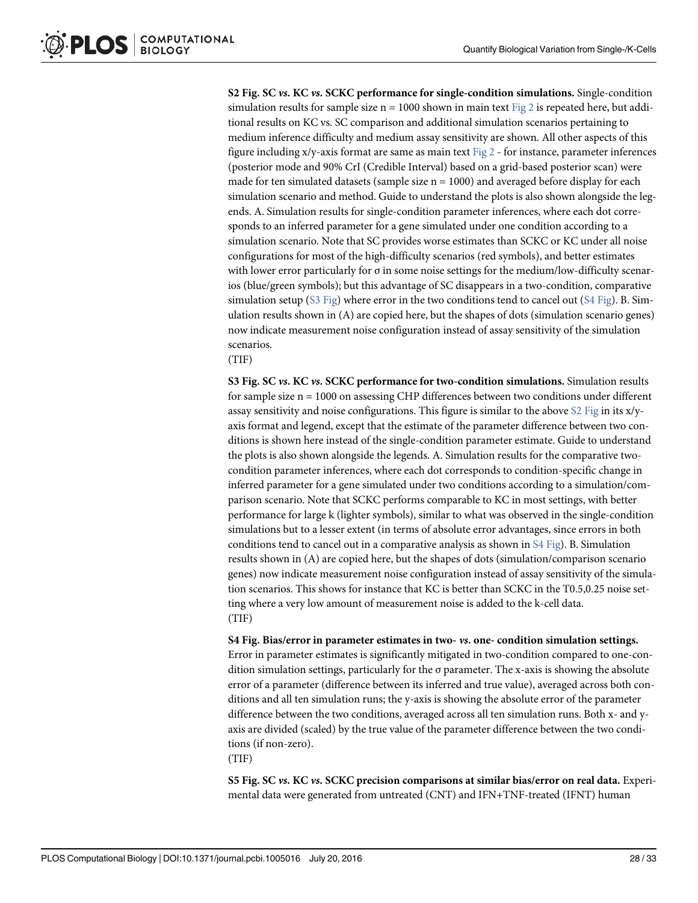S2 Fig. SC vs. KC vs. SCKC performance for single-condition simulations. Single-condition simulation results for sample size  $n = 1000$  shown in main text Fig 2 is repeated here, but additional results on KC vs. SC comparison and additional simulation scenarios pertaining to medium inference difficulty and medium assay sensitivity are shown. All other aspects of this figure including  $x/y$ -axis format are same as main text Fig 2 - for instance, parameter inferences (posterior mode and 90% CrI (Credible Interval) based on a grid-based posterior scan) were made for ten simulated datasets (sample size  $n = 1000$ ) and averaged before display for each simulation scenario and method. Guide to understand the plots is also shown alongside the legends. A. Simulation results for single-condition parameter inferences, where each dot corresponds to an inferred parameter for a gene simulated under one condition according to a simulation scenario. Note that SC provides worse estimates than SCKC or KC under all noise configurations for most of the high-difficulty scenarios (red symbols), and better estimates with lower error particularly for  $\sigma$  in some noise settings for the medium/low-difficulty scenarios (blue/green symbols); but this advantage of SC disappears in a two-condition, comparative simulation setup ( $S3$  Fig) where error in the two conditions tend to cancel out ( $S4$  Fig). B. Simulation results shown in (A) are copied here, but the shapes of dots (simulation scenario genes) now indicate measurement noise configuration instead of assay sensitivity of the simulation scenarios.

(TIF)

S3 Fig. SC vs. KC vs. SCKC performance for two-condition simulations. Simulation results for sample size n = 1000 on assessing CHP differences between two conditions under different assay sensitivity and noise configurations. This figure is similar to the above S2 Fig in its x/yaxis format and legend, except that the estimate of the parameter difference between two conditions is shown here instead of the single-condition parameter estimate. Guide to understand the plots is also shown alongside the legends. A. Simulation results for the comparative twocondition parameter inferences, where each dot corresponds to condition-specific change in inferred parameter for a gene simulated under two conditions according to a simulation/comparison scenario. Note that SCKC performs comparable to KC in most settings, with better performance for large k (lighter symbols), similar to what was observed in the single-condition simulations but to a lesser extent (in terms of absolute error advantages, since errors in both conditions tend to cancel out in a comparative analysis as shown in S4 Fig). B. Simulation results shown in (A) are copied here, but the shapes of dots (simulation/comparison scenario genes) now indicate measurement noise configuration instead of assay sensitivity of the simulation scenarios. This shows for instance that KC is better than SCKC in the T0.5,0.25 noise setting where a very low amount of measurement noise is added to the k-cell data. (TIF)

S4 Fig. Bias/error in parameter estimates in two- vs. one- condition simulation settings. Error in parameter estimates is significantly mitigated in two-condition compared to one-condition simulation settings, particularly for the σ parameter. The x-axis is showing the absolute error of a parameter (difference between its inferred and true value), averaged across both conditions and all ten simulation runs; the y-axis is showing the absolute error of the parameter difference between the two conditions, averaged across all ten simulation runs. Both x- and yaxis are divided (scaled) by the true value of the parameter difference between the two conditions (if non-zero).

(TIF)

S5 Fig. SC vs. KC vs. SCKC precision comparisons at similar bias/error on real data. Experimental data were generated from untreated (CNT) and IFN+TNF-treated (IFNT) human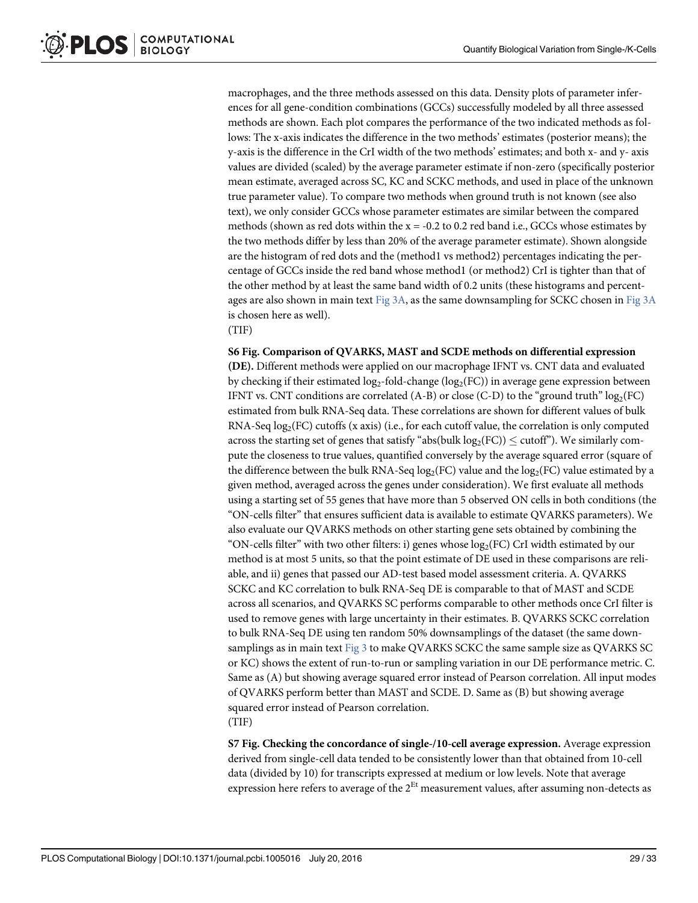macrophages, and the three methods assessed on this data. Density plots of parameter inferences for all gene-condition combinations (GCCs) successfully modeled by all three assessed methods are shown. Each plot compares the performance of the two indicated methods as follows: The x-axis indicates the difference in the two methods' estimates (posterior means); the y-axis is the difference in the CrI width of the two methods' estimates; and both x- and y- axis values are divided (scaled) by the average parameter estimate if non-zero (specifically posterior mean estimate, averaged across SC, KC and SCKC methods, and used in place of the unknown true parameter value). To compare two methods when ground truth is not known (see also text), we only consider GCCs whose parameter estimates are similar between the compared methods (shown as red dots within the  $x = -0.2$  to 0.2 red band i.e., GCCs whose estimates by the two methods differ by less than 20% of the average parameter estimate). Shown alongside are the histogram of red dots and the (method1 vs method2) percentages indicating the percentage of GCCs inside the red band whose method1 (or method2) CrI is tighter than that of the other method by at least the same band width of 0.2 units (these histograms and percentages are also shown in main text  $Fig 3A$ , as the same downsampling for SCKC chosen in Fig  $3A$ is chosen here as well).

(TIF)

#### S6 Fig. Comparison of QVARKS, MAST and SCDE methods on differential expression

(DE). Different methods were applied on our macrophage IFNT vs. CNT data and evaluated by checking if their estimated  $\log_2$ -fold-change ( $\log_2(\text{FC})$ ) in average gene expression between IFNT vs. CNT conditions are correlated  $(A-B)$  or close  $(C-D)$  to the "ground truth"  $log<sub>2</sub>(FC)$ estimated from bulk RNA-Seq data. These correlations are shown for different values of bulk RNA-Seq  $\log_2(\text{FC})$  cutoffs (x axis) (i.e., for each cutoff value, the correlation is only computed across the starting set of genes that satisfy "abs(bulk  $log_2(FC)) \leq \text{cutoff}$ "). We similarly compute the closeness to true values, quantified conversely by the average squared error (square of the difference between the bulk RNA-Seq  $\log_2(\text{FC})$  value and the  $\log_2(\text{FC})$  value estimated by a given method, averaged across the genes under consideration). We first evaluate all methods using a starting set of 55 genes that have more than 5 observed ON cells in both conditions (the "ON-cells filter" that ensures sufficient data is available to estimate QVARKS parameters). We also evaluate our QVARKS methods on other starting gene sets obtained by combining the "ON-cells filter" with two other filters: i) genes whose  $log_2(FC)$  CrI width estimated by our method is at most 5 units, so that the point estimate of DE used in these comparisons are reliable, and ii) genes that passed our AD-test based model assessment criteria. A. QVARKS SCKC and KC correlation to bulk RNA-Seq DE is comparable to that of MAST and SCDE across all scenarios, and QVARKS SC performs comparable to other methods once CrI filter is used to remove genes with large uncertainty in their estimates. B. QVARKS SCKC correlation to bulk RNA-Seq DE using ten random 50% downsamplings of the dataset (the same downsamplings as in main text Fig 3 to make QVARKS SCKC the same sample size as QVARKS SC or KC) shows the extent of run-to-run or sampling variation in our DE performance metric. C. Same as (A) but showing average squared error instead of Pearson correlation. All input modes of QVARKS perform better than MAST and SCDE. D. Same as (B) but showing average squared error instead of Pearson correlation. (TIF)

S7 Fig. Checking the concordance of single-/10-cell average expression. Average expression derived from single-cell data tended to be consistently lower than that obtained from 10-cell data (divided by 10) for transcripts expressed at medium or low levels. Note that average expression here refers to average of the  $2^{Et}$  measurement values, after assuming non-detects as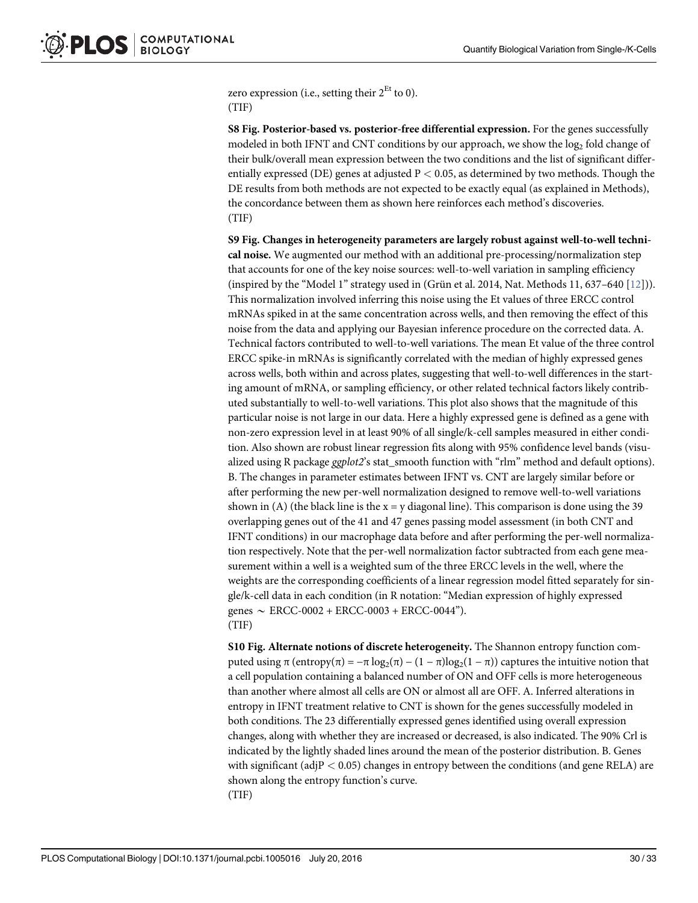zero expression (i.e., setting their  $2^{Et}$  to 0). (TIF)

S8 Fig. Posterior-based vs. posterior-free differential expression. For the genes successfully modeled in both IFNT and CNT conditions by our approach, we show the  $\log_2$  fold change of their bulk/overall mean expression between the two conditions and the list of significant differentially expressed (DE) genes at adjusted  $P < 0.05$ , as determined by two methods. Though the DE results from both methods are not expected to be exactly equal (as explained in Methods), the concordance between them as shown here reinforces each method's discoveries. (TIF)

S9 Fig. Changes in heterogeneity parameters are largely robust against well-to-well technical noise. We augmented our method with an additional pre-processing/normalization step that accounts for one of the key noise sources: well-to-well variation in sampling efficiency (inspired by the "Model 1" strategy used in (Grün et al. 2014, Nat. Methods 11, 637–640 [12])). This normalization involved inferring this noise using the Et values of three ERCC control mRNAs spiked in at the same concentration across wells, and then removing the effect of this noise from the data and applying our Bayesian inference procedure on the corrected data. A. Technical factors contributed to well-to-well variations. The mean Et value of the three control ERCC spike-in mRNAs is significantly correlated with the median of highly expressed genes across wells, both within and across plates, suggesting that well-to-well differences in the starting amount of mRNA, or sampling efficiency, or other related technical factors likely contributed substantially to well-to-well variations. This plot also shows that the magnitude of this particular noise is not large in our data. Here a highly expressed gene is defined as a gene with non-zero expression level in at least 90% of all single/k-cell samples measured in either condition. Also shown are robust linear regression fits along with 95% confidence level bands (visualized using R package *ggplot2*'s stat smooth function with "rlm" method and default options). B. The changes in parameter estimates between IFNT vs. CNT are largely similar before or after performing the new per-well normalization designed to remove well-to-well variations shown in (A) (the black line is the  $x = y$  diagonal line). This comparison is done using the 39 overlapping genes out of the 41 and 47 genes passing model assessment (in both CNT and IFNT conditions) in our macrophage data before and after performing the per-well normalization respectively. Note that the per-well normalization factor subtracted from each gene measurement within a well is a weighted sum of the three ERCC levels in the well, where the weights are the corresponding coefficients of a linear regression model fitted separately for single/k-cell data in each condition (in R notation: "Median expression of highly expressed genes  $\sim$  ERCC-0002 + ERCC-0003 + ERCC-0044"). (TIF)

S10 Fig. Alternate notions of discrete heterogeneity. The Shannon entropy function computed using π (entropy(π) =  $-\pi \log_2(\pi) - (1 - \pi) \log_2(1 - \pi)$ ) captures the intuitive notion that a cell population containing a balanced number of ON and OFF cells is more heterogeneous than another where almost all cells are ON or almost all are OFF. A. Inferred alterations in entropy in IFNT treatment relative to CNT is shown for the genes successfully modeled in both conditions. The 23 differentially expressed genes identified using overall expression changes, along with whether they are increased or decreased, is also indicated. The 90% Crl is indicated by the lightly shaded lines around the mean of the posterior distribution. B. Genes with significant (adj $P < 0.05$ ) changes in entropy between the conditions (and gene RELA) are shown along the entropy function's curve. (TIF)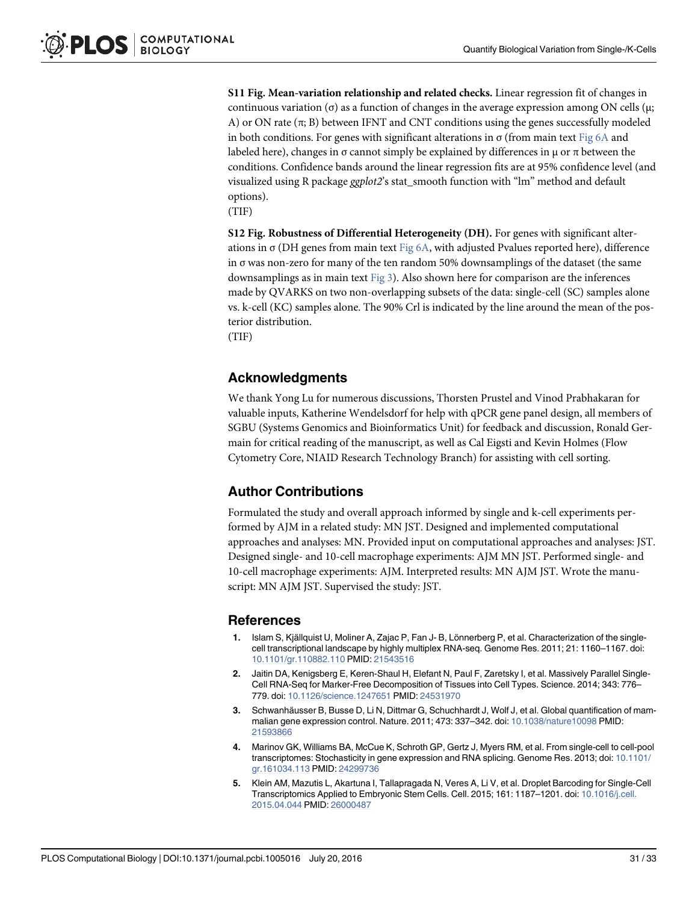S11 Fig. Mean-variation relationship and related checks. Linear regression fit of changes in continuous variation (σ) as a function of changes in the average expression among ON cells (µ; A) or ON rate  $(\pi; B)$  between IFNT and CNT conditions using the genes successfully modeled in both conditions. For genes with significant alterations in  $\sigma$  (from main text Fig 6A and labeled here), changes in σ cannot simply be explained by differences in  $\mu$  or  $\pi$  between the conditions. Confidence bands around the linear regression fits are at 95% confidence level (and visualized using R package ggplot2's stat\_smooth function with "lm" method and default options).

(TIF)

S12 Fig. Robustness of Differential Heterogeneity (DH). For genes with significant alterations in  $\sigma$  (DH genes from main text Fig 6A, with adjusted Pvalues reported here), difference in σ was non-zero for many of the ten random 50% downsamplings of the dataset (the same downsamplings as in main text Fig 3). Also shown here for comparison are the inferences made by QVARKS on two non-overlapping subsets of the data: single-cell (SC) samples alone vs. k-cell (KC) samples alone. The 90% Crl is indicated by the line around the mean of the posterior distribution.

(TIF)

#### Acknowledgments

We thank Yong Lu for numerous discussions, Thorsten Prustel and Vinod Prabhakaran for valuable inputs, Katherine Wendelsdorf for help with qPCR gene panel design, all members of SGBU (Systems Genomics and Bioinformatics Unit) for feedback and discussion, Ronald Germain for critical reading of the manuscript, as well as Cal Eigsti and Kevin Holmes (Flow Cytometry Core, NIAID Research Technology Branch) for assisting with cell sorting.

#### Author Contributions

Formulated the study and overall approach informed by single and k-cell experiments performed by AJM in a related study: MN JST. Designed and implemented computational approaches and analyses: MN. Provided input on computational approaches and analyses: JST. Designed single- and 10-cell macrophage experiments: AJM MN JST. Performed single- and 10-cell macrophage experiments: AJM. Interpreted results: MN AJM JST. Wrote the manuscript: MN AJM JST. Supervised the study: JST.

#### References

- 1. Islam S, Kjällquist U, Moliner A, Zajac P, Fan J- B, Lönnerberg P, et al. Characterization of the singlecell transcriptional landscape by highly multiplex RNA-seq. Genome Res. 2011; 21: 1160–1167. doi: 10.1101/gr.110882.110 PMID: 21543516
- 2. Jaitin DA, Kenigsberg E, Keren-Shaul H, Elefant N, Paul F, Zaretsky I, et al. Massively Parallel Single-Cell RNA-Seq for Marker-Free Decomposition of Tissues into Cell Types. Science. 2014; 343: 776– 779. doi: 10.1126/science.1247651 PMID: 24531970
- 3. Schwanhäusser B, Busse D, Li N, Dittmar G, Schuchhardt J, Wolf J, et al. Global quantification of mammalian gene expression control. Nature. 2011; 473: 337–342. doi: 10.1038/nature10098 PMID: 21593866
- 4. Marinov GK, Williams BA, McCue K, Schroth GP, Gertz J, Myers RM, et al. From single-cell to cell-pool transcriptomes: Stochasticity in gene expression and RNA splicing. Genome Res. 2013; doi: 10.1101/ gr.161034.113 PMID: 24299736
- 5. Klein AM, Mazutis L, Akartuna I, Tallapragada N, Veres A, Li V, et al. Droplet Barcoding for Single-Cell Transcriptomics Applied to Embryonic Stem Cells. Cell. 2015; 161: 1187–1201. doi: 10.1016/j.cell. 2015.04.044 PMID: 26000487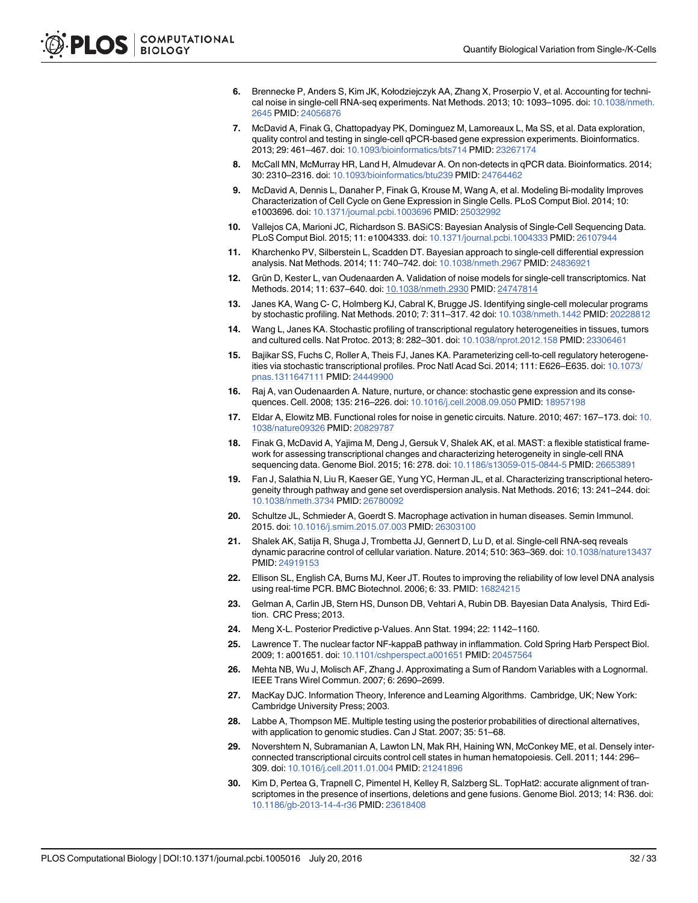- 6. Brennecke P, Anders S, Kim JK, Kołodziejczyk AA, Zhang X, Proserpio V, et al. Accounting for technical noise in single-cell RNA-seq experiments. Nat Methods. 2013; 10: 1093–1095. doi: 10.1038/nmeth. 2645 PMID: 24056876
- 7. McDavid A, Finak G, Chattopadyay PK, Dominguez M, Lamoreaux L, Ma SS, et al. Data exploration, quality control and testing in single-cell qPCR-based gene expression experiments. Bioinformatics. 2013; 29: 461–467. doi: 10.1093/bioinformatics/bts714 PMID: 23267174
- 8. McCall MN, McMurray HR, Land H, Almudevar A. On non-detects in qPCR data. Bioinformatics. 2014; 30: 2310–2316. doi: 10.1093/bioinformatics/btu239 PMID: 24764462
- 9. McDavid A, Dennis L, Danaher P, Finak G, Krouse M, Wang A, et al. Modeling Bi-modality Improves Characterization of Cell Cycle on Gene Expression in Single Cells. PLoS Comput Biol. 2014; 10: e1003696. doi: 10.1371/journal.pcbi.1003696 PMID: 25032992
- 10. Vallejos CA, Marioni JC, Richardson S. BASiCS: Bayesian Analysis of Single-Cell Sequencing Data. PLoS Comput Biol. 2015; 11: e1004333. doi: 10.1371/journal.pcbi.1004333 PMID: 26107944
- 11. Kharchenko PV, Silberstein L, Scadden DT. Bayesian approach to single-cell differential expression analysis. Nat Methods. 2014; 11: 740–742. doi: 10.1038/nmeth.2967 PMID: 24836921
- 12. Grün D, Kester L, van Oudenaarden A. Validation of noise models for single-cell transcriptomics. Nat Methods. 2014; 11: 637–640. doi: 10.1038/nmeth.2930 PMID: 24747814
- 13. Janes KA, Wang C- C, Holmberg KJ, Cabral K, Brugge JS. Identifying single-cell molecular programs by stochastic profiling. Nat Methods. 2010; 7: 311–317. 42 doi: 10.1038/nmeth.1442 PMID: 20228812
- 14. Wang L, Janes KA. Stochastic profiling of transcriptional regulatory heterogeneities in tissues, tumors and cultured cells. Nat Protoc. 2013; 8: 282–301. doi: 10.1038/nprot.2012.158 PMID: 23306461
- 15. Bajikar SS, Fuchs C, Roller A, Theis FJ, Janes KA. Parameterizing cell-to-cell regulatory heterogeneities via stochastic transcriptional profiles. Proc Natl Acad Sci. 2014; 111: E626–E635. doi: 10.1073/ pnas.1311647111 PMID: 24449900
- 16. Raj A, van Oudenaarden A. Nature, nurture, or chance: stochastic gene expression and its consequences. Cell. 2008; 135: 216–226. doi: 10.1016/j.cell.2008.09.050 PMID: 18957198
- 17. Eldar A, Elowitz MB. Functional roles for noise in genetic circuits. Nature. 2010; 467: 167–173. doi: 10. 1038/nature09326 PMID: 20829787
- 18. Finak G, McDavid A, Yajima M, Deng J, Gersuk V, Shalek AK, et al. MAST: a flexible statistical framework for assessing transcriptional changes and characterizing heterogeneity in single-cell RNA sequencing data. Genome Biol. 2015; 16: 278. doi: 10.1186/s13059-015-0844-5 PMID: 26653891
- 19. Fan J, Salathia N, Liu R, Kaeser GE, Yung YC, Herman JL, et al. Characterizing transcriptional heterogeneity through pathway and gene set overdispersion analysis. Nat Methods. 2016; 13: 241–244. doi: 10.1038/nmeth.3734 PMID: 26780092
- 20. Schultze JL, Schmieder A, Goerdt S. Macrophage activation in human diseases. Semin Immunol. 2015. doi: 10.1016/j.smim.2015.07.003 PMID: 26303100
- 21. Shalek AK, Satija R, Shuga J, Trombetta JJ, Gennert D, Lu D, et al. Single-cell RNA-seq reveals dynamic paracrine control of cellular variation. Nature. 2014; 510: 363-369. doi: 10.1038/nature13437 PMID: 24919153
- 22. Ellison SL, English CA, Burns MJ, Keer JT. Routes to improving the reliability of low level DNA analysis using real-time PCR. BMC Biotechnol. 2006; 6: 33. PMID: 16824215
- 23. Gelman A, Carlin JB, Stern HS, Dunson DB, Vehtari A, Rubin DB. Bayesian Data Analysis, Third Edition. CRC Press; 2013.
- 24. Meng X-L. Posterior Predictive p-Values. Ann Stat. 1994; 22: 1142–1160.
- 25. Lawrence T. The nuclear factor NF-kappaB pathway in inflammation. Cold Spring Harb Perspect Biol. 2009; 1: a001651. doi: 10.1101/cshperspect.a001651 PMID: 20457564
- 26. Mehta NB, Wu J, Molisch AF, Zhang J. Approximating a Sum of Random Variables with a Lognormal. IEEE Trans Wirel Commun. 2007; 6: 2690–2699.
- 27. MacKay DJC. Information Theory, Inference and Learning Algorithms. Cambridge, UK; New York: Cambridge University Press; 2003.
- 28. Labbe A, Thompson ME. Multiple testing using the posterior probabilities of directional alternatives, with application to genomic studies. Can J Stat. 2007; 35: 51–68.
- 29. Novershtern N, Subramanian A, Lawton LN, Mak RH, Haining WN, McConkey ME, et al. Densely interconnected transcriptional circuits control cell states in human hematopoiesis. Cell. 2011; 144: 296– 309. doi: 10.1016/j.cell.2011.01.004 PMID: 21241896
- 30. Kim D, Pertea G, Trapnell C, Pimentel H, Kelley R, Salzberg SL. TopHat2: accurate alignment of transcriptomes in the presence of insertions, deletions and gene fusions. Genome Biol. 2013; 14: R36. doi: 10.1186/gb-2013-14-4-r36 PMID: 23618408